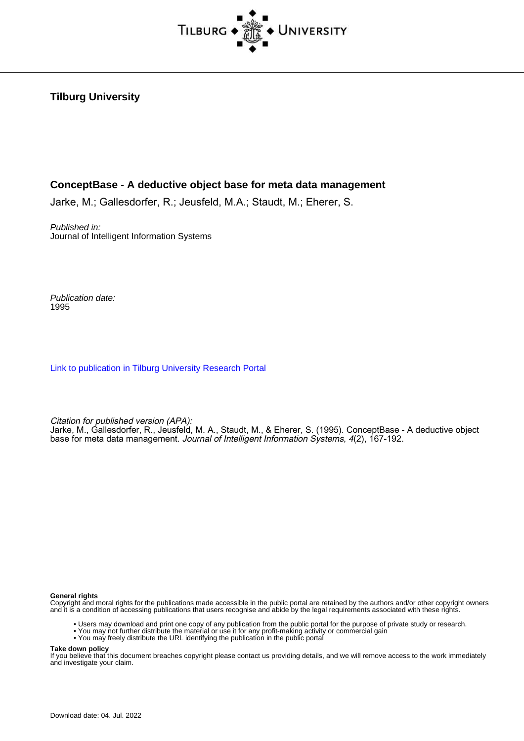

### **Tilburg University**

### **ConceptBase - A deductive object base for meta data management**

Jarke, M.; Gallesdorfer, R.; Jeusfeld, M.A.; Staudt, M.; Eherer, S.

Published in: Journal of Intelligent Information Systems

Publication date: 1995

[Link to publication in Tilburg University Research Portal](https://research.tilburguniversity.edu/en/publications/2e611450-249c-439f-b2d3-b0534de597f7)

Citation for published version (APA): Jarke, M., Gallesdorfer, R., Jeusfeld, M. A., Staudt, M., & Eherer, S. (1995). ConceptBase - A deductive object base for meta data management. Journal of Intelligent Information Systems, 4(2), 167-192.

**General rights**

Copyright and moral rights for the publications made accessible in the public portal are retained by the authors and/or other copyright owners and it is a condition of accessing publications that users recognise and abide by the legal requirements associated with these rights.

- Users may download and print one copy of any publication from the public portal for the purpose of private study or research.
- You may not further distribute the material or use it for any profit-making activity or commercial gain
- You may freely distribute the URL identifying the publication in the public portal

**Take down policy**

If you believe that this document breaches copyright please contact us providing details, and we will remove access to the work immediately and investigate your claim.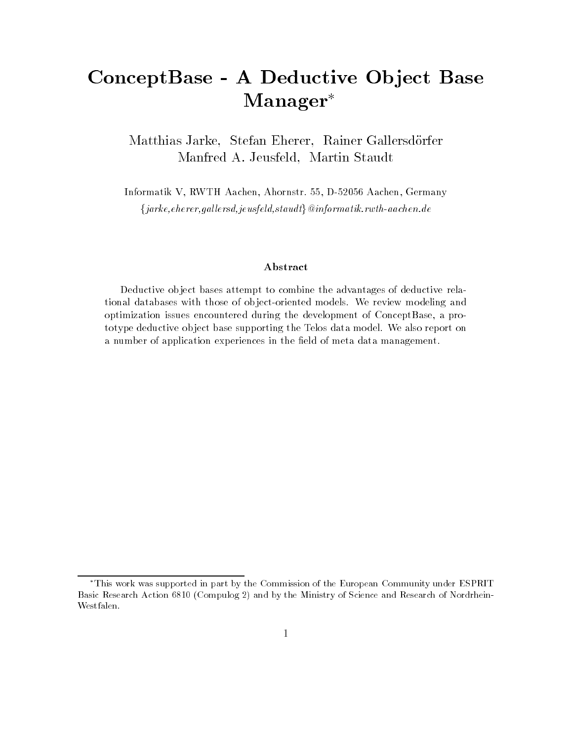# ConceptBase - A Deductive Object Base Manager

Matthias Jarke, Stefan Eherer, Rainer Gallersdörfer Manfred A. Jeusfeld, Martin Staudt

Informatik V, RWTH Aachen, Ahornstr. 55, D-52056 Aachen, Germany  $\{jarke, eherer, gallersd, jeusfeld, staudt\} @informatik.rwh-aachen.de$ 

#### Abstract

Deductive ob ject bases attempt to combine the advantages of deductive relational databases with those of ob ject-oriented models. We review modeling and optimization issues encountered during the development of ConceptBase, a prototype deductive ob ject base supporting the Telos data model. We also report on a number of application experiences in the field of meta data management.

This work was supported in part by the Commission of the European Community under ESPRIT Basic Research Action 6810 (Compulog 2) and by the Ministry of Science and Research of Nordrhein-Westfalen.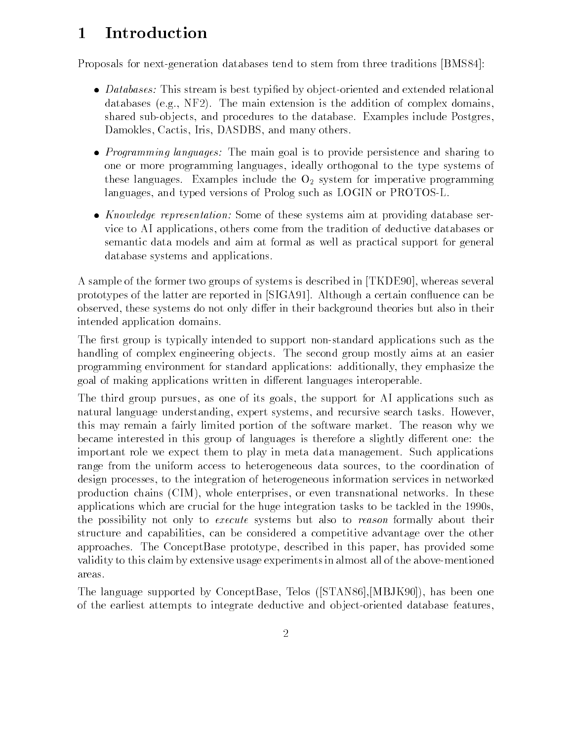# 1 Introduction

Proposals for next-generation databases tend to stem from three traditions [BMS84]:

- $\bullet$   $~$   $~$   $~$   $\mu$   $~$   $\mu$   $\mu$   $\mu$   $\mu$   $\mu$   $\mu$  is best typined by object-oriented and extended relational databases (e.g., NF2). The main extension is the addition of complex domains, shared sub-ob jects, and procedures to the database. Examples include Postgres, Damokles, Cactis, Iris, DASDBS, and many others.
- $\bullet$  *Programming languages:* The main goal is to provide persistence and sharing to one or more programming languages, ideally orthogonal to the type systems of these languages. Examples include the  $O_2$  system for imperative programming languages, and typed versions of Prolog such as LOGIN or PROTOS-L.
- *Knowledge representation:* Some of these systems aim at providing database service to AI applications, others come from the tradition of deductive databases or semantic data models and aim at formal as well as practical support for general database systems and applications.

A sample of the former two groups of systems is described in [TKDE90], whereas several prototypes of the latter are reported in [SIGA91]. Although a certain con
uence can be observed, these systems do not only differ in their background theories but also in their intended application domains.

The first group is typically intended to support non-standard applications such as the handling of complex engineering ob jects. The second group mostly aims at an easier programming environment for standard applications: additionally, they emphasize the goal of making applications written in different languages interoperable.

The third group pursues, as one of its goals, the support for AI applications such as natural language understanding, expert systems, and recursive search tasks. However, this may remain a fairly limited portion of the software market. The reason why we became interested in this group of languages is therefore a slightly different one: the important role we expect them to play in meta data management. Such applications range from the uniform access to heterogeneous data sources, to the coordination of design processes, to the integration of heterogeneous information services in networked production chains (CIM), whole enterprises, or even transnational networks. In these applications which are crucial for the huge integration tasks to be tackled in the 1990s, the possibility not only to execute systems but also to reason formally about their structure and capabilities, can be considered a competitive advantage over the other approaches. The ConceptBase prototype, described in this paper, has provided some validity to this claim by extensive usage experiments in almost all of the above-mentioned areas.

The language supported by ConceptBase, Telos ([STAN86],[MBJK90]), has been one of the earliest attempts to integrate deductive and ob ject-oriented database features,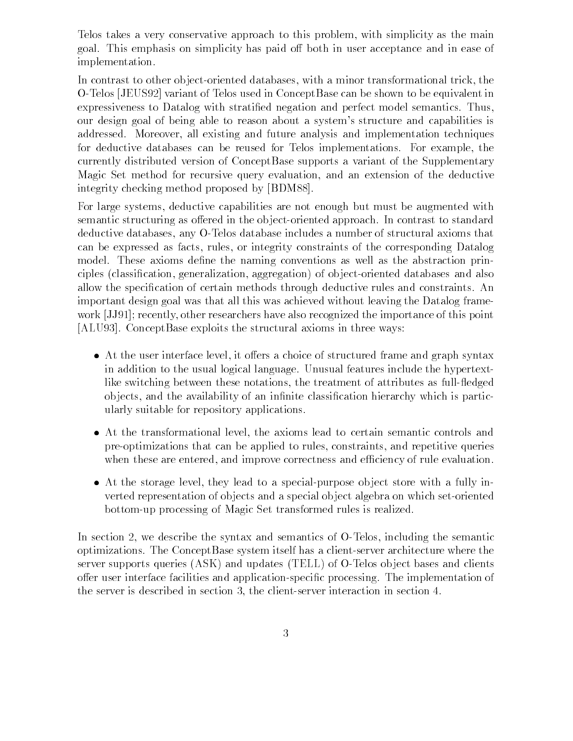Telos takes a very conservative approach to this problem, with simplicity as the main goal. This emphasis on simplicity has paid off both in user acceptance and in ease of implementation.

In contrast to other ob ject-oriented databases, with a minor transformational trick, the O-Telos [JEUS92] variant of Telos used in ConceptBase can be shown to be equivalent in expressiveness to Datalog with stratied negation and perfect model semantics. Thus, our design goal of being able to reason about a system's structure and capabilities is addressed. Moreover, all existing and future analysis and implementation techniques for deductive databases can be reused for Telos implementations. For example, the currently distributed version of ConceptBase supports a variant of the Supplementary Magic Set method for recursive query evaluation, and an extension of the deductive integrity checking method proposed by [BDM88].

For large systems, deductive capabilities are not enough but must be augmented with semantic structuring as offered in the object-oriented approach. In contrast to standard deductive databases, any O-Telos database includes a number of structural axioms that can be expressed as facts, rules, or integrity constraints of the corresponding Datalog model. These axioms define the naming conventions as well as the abstraction principles (classication, generalization, aggregation) of ob ject-oriented databases and also allow the specication of certain methods through deductive rules and constraints. An important design goal was that all this was achieved without leaving the Datalog framework [JJ91]; recently, other researchers have also recognized the importance of this point [ALU93]. ConceptBase exploits the structural axioms in three ways:

- $\bullet$  At the user interface level, it offers a choice of structured frame and graph syntax in addition to the usual logical language. Unusual features include the hypertextlike switching between these notations, the treatment of attributes as full-fledged objects, and the availability of an infinite classification hierarchy which is particularly suitable for repository applications.
- At the transformational level, the axioms lead to certain semantic controls and pre-optimizations that can be applied to rules, constraints, and repetitive queries when these are entered, and improve correctness and efficiency of rule evaluation.
- At the storage level, they lead to a special-purpose ob ject store with a fully inverted representation of ob jects and a special ob ject algebra on which set-oriented bottom-up processing of Magic Set transformed rules is realized.

In section 2, we describe the syntax and semantics of O-Telos, including the semantic optimizations. The ConceptBase system itself has a client-server architecture where the server supports queries (ASK) and updates (TELL) of O-Telos object bases and clients offer user interface facilities and application-specific processing. The implementation of the server is described in section 3, the client-server interaction in section 4.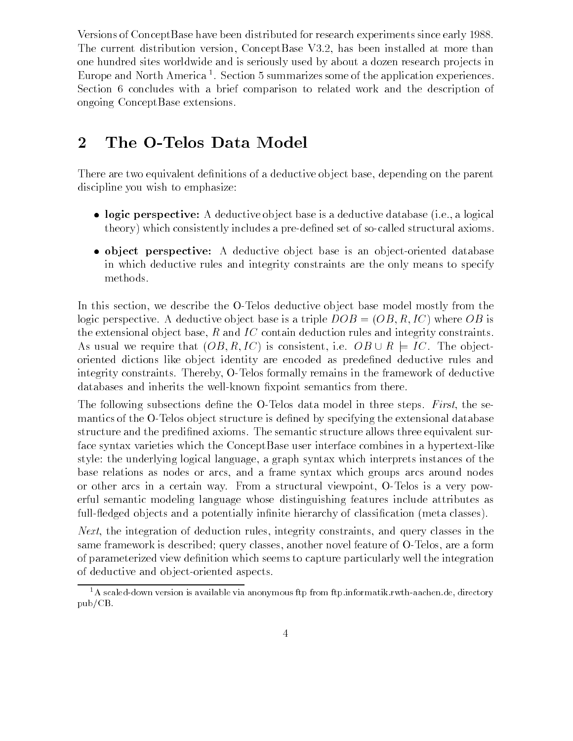Versions of ConceptBase have been distributed for research experiments since early 1988. The current distribution version, ConceptBase V3.2, has been installed at more than one hundred sites worldwide and is seriously used by about a dozen research pro jects in Europe and North America <sup>1</sup> . Section 5 summarizes some of the application experiences. Section 6 concludes with a brief comparison to related work and the description of ongoing ConceptBase extensions.

# 2 The O-Telos Data Model

There are two equivalent definitions of a deductive object base, depending on the parent discipline you wish to emphasize:

- $\bullet$  -logic perspective: A deductive object base is a deductive database (i.e., a logical  $\bullet$ theory) which consistently includes a pre-dened set of so-called structural axioms.
- $\bullet$  object perspective: A deductive object base is an object-oriented database  $\blacksquare$ in which deductive rules and integrity constraints are the only means to specify methods.

In this section, we describe the O-Telos deductive ob ject base model mostly from the logic perspective. A deductive object base is a triple  $DOB = (OB, R, IC)$  where  $OB$  is the extensional object base,  $R$  and  $IC$  contain deduction rules and integrity constraints. As usual we require that  $(OB, R, IC)$  is consistent, i.e.  $OB \cup R \models IC$ . The objectoriented dictions like ob ject identity are encoded as predened deductive rules and integrity constraints. Thereby, O-Telos formally remains in the framework of deductive databases and inherits the well-known fixpoint semantics from there.

The following subsections define the O-Telos data model in three steps. First, the semantics of the O-Telos object structure is defined by specifying the extensional database structure and the predined axioms. The semantic structure allows three equivalent surface syntax varieties which the ConceptBase user interface combines in a hypertext-like style: the underlying logical language, a graph syntax which interprets instances of the base relations as nodes or arcs, and a frame syntax which groups arcs around nodes or other arcs in a certain way. From a structural viewpoint, O-Telos is a very powerful semantic modeling language whose distinguishing features include attributes as full-fledged objects and a potentially infinite hierarchy of classification (meta classes).

Next, the integration of deduction rules, integrity constraints, and query classes in the same framework is described; query classes, another novel feature of O-Telos, are a form of parameterized view definition which seems to capture particularly well the integration of deductive and ob ject-oriented aspects.

 $1<sup>1</sup>A$  scaled-down version is available via anonymous ftp from ftp.informatik.rwth-aachen.de, directory pub/CB.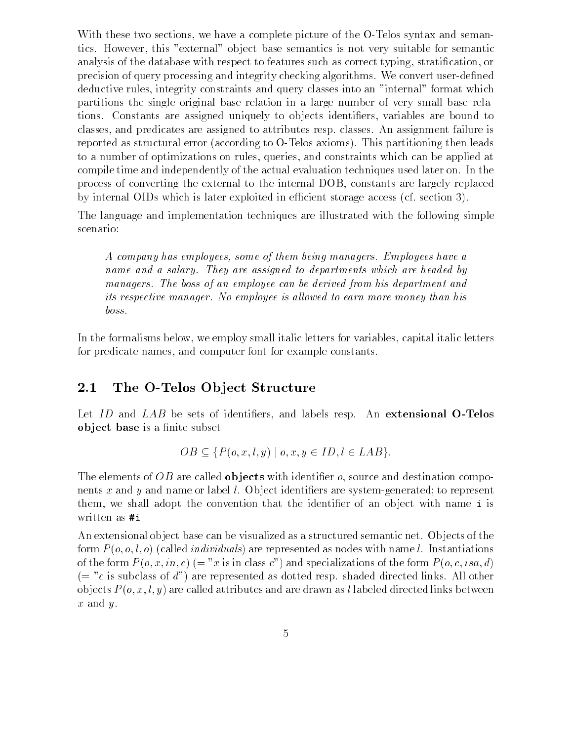With these two sections, we have a complete picture of the O-Telos syntax and semantics. However, this "external" ob ject base semantics is not very suitable for semantic analysis of the database with respect to features such as correct typing, stratification, or precision of query processing and integrity checking algorithms. We convert user-dened deductive rules, integrity constraints and query classes into an "internal" format which partitions the single original base relation in a large number of very small base relations. Constants are assigned uniquely to objects identifiers, variables are bound to classes, and predicates are assigned to attributes resp. classes. An assignment failure is reported as structural error (according to O-Telos axioms). This partitioning then leads to a number of optimizations on rules, queries, and constraints which can be applied at compile time and independently of the actual evaluation techniques used later on. In the process of converting the external to the internal DOB, constants are largely replaced by internal OIDs which is later exploited in efficient storage access (cf. section 3).

The language and implementation techniques are illustrated with the following simple scenario:

A company has employees, some of them being managers. Employees have a name and a salary. They are assigned to departments which are headed by managers. The boss of an employee can be derived from his department and its respective manager. No employee is allowed to earn more money than his  $boss.$ 

In the formalisms below, we employ small italic letters for variables, capital italic letters for predicate names, and computer font for example constants.

## 2.1 The O-Telos Object Structure

Let  $ID$  and  $LAB$  be sets of identifiers, and labels resp. An extensional O-Telos object base is a finite subset

$$
OB \subseteq \{P(o, x, l, y) \mid o, x, y \in ID, l \in LAB\}.
$$

The elements of OB are called **objects** with identifier  $o$ , source and destination components x and y and name or label  $l$ . Object identifiers are system-generated; to represent them, we shall adopt the convention that the identifier of an object with name i is written as #i

An extensional ob ject base can be visualized as a structured semantic net. Ob jects of the form  $P(o, o, l, o)$  (called *individuals*) are represented as nodes with name l. Instantiations of the form  $P(o, x, in, c) (= "x$  is in class c") and specializations of the form  $P(o, c, isa, d)$  $(= "c$  is subclass of d") are represented as dotted resp. shaded directed links. All other objects  $P(o, x, l, y)$  are called attributes and are drawn as l labeled directed links between  $x$  and  $y$ .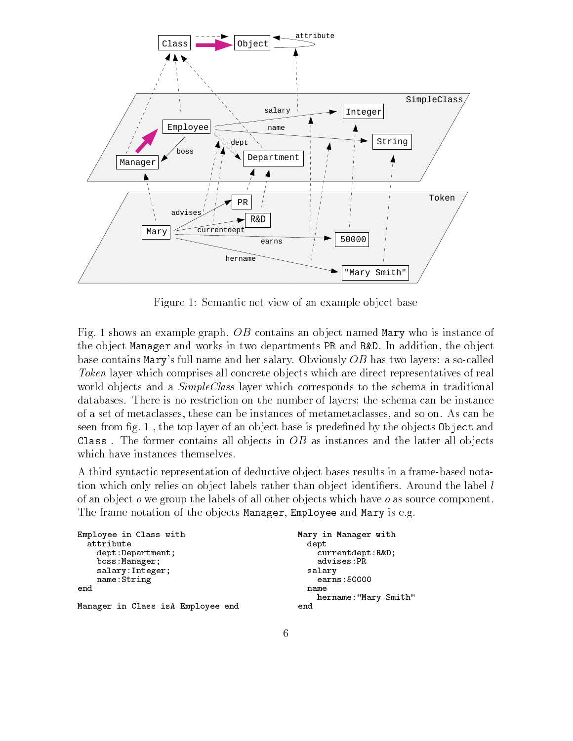

Figure 1: Semantic net view of an example object base

Fig. 1 shows an example graph. OB contains an object named Mary who is instance of the ob ject Manager and works in two departments PR and R&D. In addition, the ob ject base contains Mary's full name and her salary. Obviously OB has two layers: a so-called Token layer which comprises all concrete objects which are direct representatives of real world objects and a *SimpleClass* layer which corresponds to the schema in traditional databases. There is no restriction on the number of layers; the schema can be instance of a set of metaclasses, these can be instances of metametaclasses, and so on. As can be seen from fig. 1, the top layer of an object base is predefined by the objects 0 bject and Class. The former contains all objects in  $OB$  as instances and the latter all objects which have instances themselves.

A third syntactic representation of deductive ob ject bases results in a frame-based notation which only relies on object labels rather than object identifiers. Around the label l of an ob ject o we group the labels of all other ob jects which have o as source component. The frame notation of the objects Manager, Employee and Mary is e.g.

```
Employee in Class with Mary in Manager with
  attribute de la construction de la construction de la construction de la construction de la construction de la
    dept:Department; extending the currentdept:R&D;<br>
boss:Manager; extending the current of advises:PR
    boss: Manager;
    salary:Integer; extending the salary salary salary
    name:String earns:50000
                                                     name
                                                        hername:"Mary Smith"
Manager in Class isA Employee end
                                                   end
```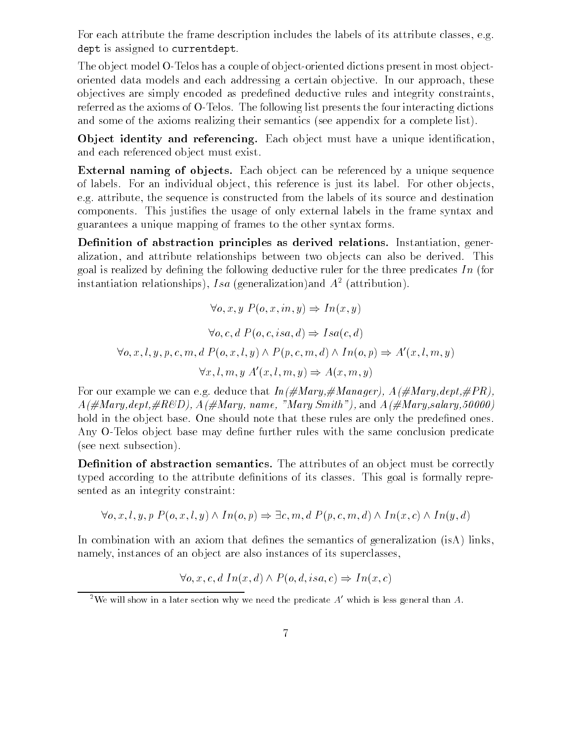For each attribute the frame description includes the labels of its attribute classes, e.g. dept is assigned to currentdept.

The ob ject model O-Telos has a couple of ob ject-oriented dictions present in most ob jectoriented data models and each addressing a certain ob jective. In our approach, these ob jectives are simply encoded as predened deductive rules and integrity constraints, referred as the axioms of O-Telos. The following list presents the four interacting dictions and some of the axioms realizing their semantics (see appendix for a complete list).

Object identity and referencing. Each object must have a unique identification, and each referenced ob ject must exist.

External naming of objects. Each object can be referenced by a unique sequence of labels. For an individual ob ject, this reference is just its label. For other ob jects, e.g. attribute, the sequence is constructed from the labels of its source and destination components. This justies the usage of only external labels in the frame syntax and guarantees a unique mapping of frames to the other syntax forms.

Definition of abstraction principles as derived relations. Instantiation, generalization, and attribute relationships between two ob jects can also be derived. This goal is realized by defining the following deductive ruler for the three predicates  $In$  (for instantiation relationships), Isa (generalization)and  $A<sup>2</sup>$  (attribution).

$$
\forall o, x, y \ P(o, x, in, y) \Rightarrow In(x, y)
$$

$$
\forall o, c, d \ P(o, c, isa, d) \Rightarrow Isa(c, d)
$$

$$
\forall o, x, l, y, p, c, m, d \ P(o, x, l, y) \land P(p, c, m, d) \land In(o, p) \Rightarrow A'(x, l, m, y)
$$

$$
\forall x, l, m, y \ A'(x, l, m, y) \Rightarrow A(x, m, y)
$$

For our example we can e.g. deduce that  $In(\# Mary, \# Manager)$ ,  $A(\# Mary, dept, \# PR)$ ,  $A(\text{\#Mary},\text{dept},\text{\#}_RBED), A(\text{\# Mary},\text{name},\text{ "Mary Smith"), and } A(\text{\#Mary},\text{salary},50000)$ hold in the object base. One should note that these rules are only the predefined ones. Any O-Telos object base may define further rules with the same conclusion predicate (see next subsection).

**Definition of abstraction semantics.** The attributes of an object must be correctly typed according to the attribute definitions of its classes. This goal is formally represented as an integrity constraint:

$$
\forall o, x, l, y, p \; P(o, x, l, y) \land In(o, p) \Rightarrow \exists c, m, d \; P(p, c, m, d) \land In(x, c) \land In(y, d)
$$

In combination with an axiom that defines the semantics of generalization  $(i s A)$  links, namely, instances of an object are also instances of its superclasses,

 $\forall o, x, c, d \ In(x, d) \land P(o, d, isa, c) \Rightarrow In(x, c)$ 

<sup>&</sup>lt;sup>2</sup>We will show in a later section why we need the predicate  $A'$  which is less general than A.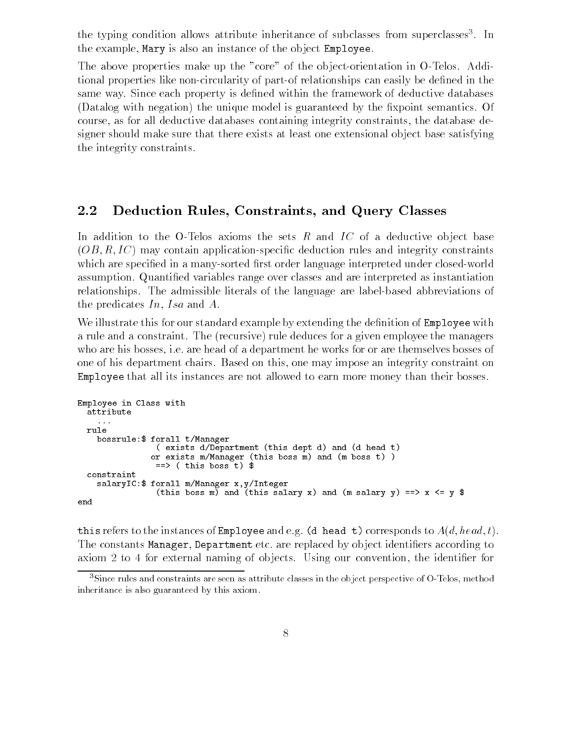the typing condition allows attribute inheritance of subclasses from superclasses . In the the example, Mary is also an instance of the ob ject Employee.

The above properties make up the "core" of the ob ject-orientation in O-Telos. Additional properties like non-circularity of part-of relationships can easily be dened in the same way. Since each property is defined within the framework of deductive databases (Datalog with negation) the unique model is guaranteed by the fixpoint semantics. Of course, as for all deductive databases containing integrity constraints, the database designer should make sure that there exists at least one extensional ob ject base satisfying the integrity constraints.

#### 2.2 Deduction Rules, Constraints, and Query Classes

In addition to the O-Telos axioms the sets  $R$  and  $IC$  of a deductive object base  $(OB, R, IC)$  may contain application-specific deduction rules and integrity constraints which are specified in a many-sorted first order language interpreted under closed-world assumption. Quantied variables range over classes and are interpreted as instantiation relationships. The admissible literals of the language are label-based abbreviations of the predicates  $In, Isa$  and  $A$ .

We illustrate this for our standard example by extending the definition of **Employee** with a rule and a constraint. The (recursive) rule deduces for a given employee the managers who are his bosses, i.e. are head of a department he works for or are themselves bosses of one of his department chairs. Based on this, one may impose an integrity constraint on Employee that all its instances are not allowed to earn more money than their bosses.

```
Employee in Class with
  attribute
 rule
    bossrule:$ forall t/Manager
                ( exists d/Department (this dept d) and (d head t)
               or exists m/Manager (this boss m) and (m boss t) )
                \Rightarrow ( this boss t) $
  constraint
    salaryIC:$ forall m/Manager x,y/Integer
                (this boss m) and (this salary x) and (m salary y) ==> x <= y $
```
this refers to the instances of Employee and e.g. (d head t) corresponds to  $A(d, head, t)$ . The constants Manager, Department etc. are replaced by object identifiers according to axiom 2 to 4 for external naming of objects. Using our convention, the identifier for

<sup>&</sup>lt;sup>3</sup>Since rules and constraints are seen as attribute classes in the object perspective of O-Telos, method inheritance is also guaranteed by this axiom.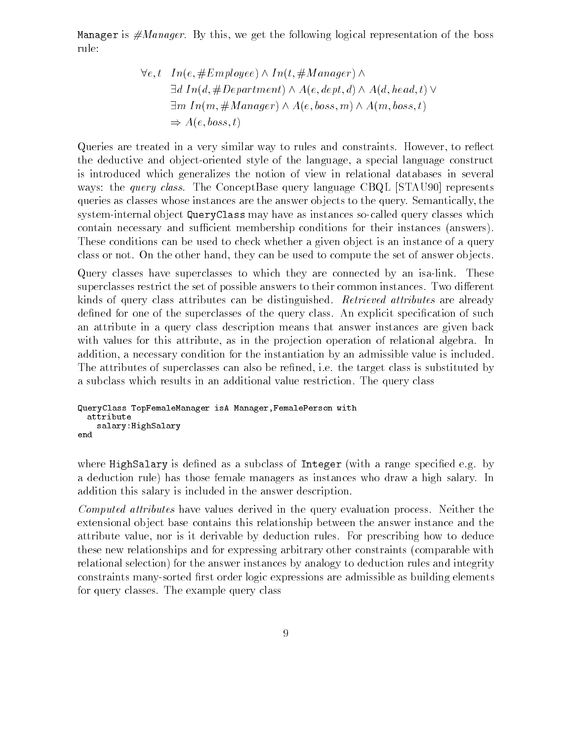Manager is  $\#Manager$ . By this, we get the following logical representation of the boss rule:

$$
\forall e, t \quad In(e, \#Employee) \land In(t, \#Manager) \land \n\exists d \quad In(d, \#Department) \land A(e, dept, d) \land A(d, head, t) \lor \n\exists m \quad In(m, \#Manager) \land A(e, boss, m) \land A(m, boss, t) \n\Rightarrow A(e, boss, t)
$$

Queries are treated in a very similar way to rules and constraints. However, to reflect the deductive and ob ject-oriented style of the language, a special language construct is introduced which generalizes the notion of view in relational databases in several ways: the *query class*. The ConceptBase query language CBQL [STAU90] represents queries as classes whose instances are the answer ob jects to the query. Semantically, the system-internal ob ject QueryClass may have as instances so-called query classes which contain necessary and sufficient membership conditions for their instances (answers). These conditions can be used to check whether a given object is an instance of a query class or not. On the other hand, they can be used to compute the set of answer ob jects.

Query classes have superclasses to which they are connected by an isa-link. These superclasses restrict the set of possible answers to their common instances. Two different kinds of query class attributes can be distinguished. Retrieved attributes are already defined for one of the superclasses of the query class. An explicit specification of such an attribute in a query class description means that answer instances are given back with values for this attribute, as in the projection operation of relational algebra. In addition, a necessary condition for the instantiation by an admissible value is included. The attributes of superclasses can also be refined, i.e. the target class is substituted by a subclass which results in an additional value restriction. The query class

```
QueryClass TopFemaleManager isA Manager,FemalePerson with
 attribute
   salary:HighSalary
end
```
where HighSalary is defined as a subclass of Integer (with a range specified e.g. by a deduction rule) has those female managers as instances who draw a high salary. In addition this salary is included in the answer description.

Computed attributes have values derived in the query evaluation process. Neither the extensional ob ject base contains this relationship between the answer instance and the attribute value, nor is it derivable by deduction rules. For prescribing how to deduce these new relationships and for expressing arbitrary other constraints (comparable with relational selection) for the answer instances by analogy to deduction rules and integrity constraints many-sorted first order logic expressions are admissible as building elements for query classes. The example query class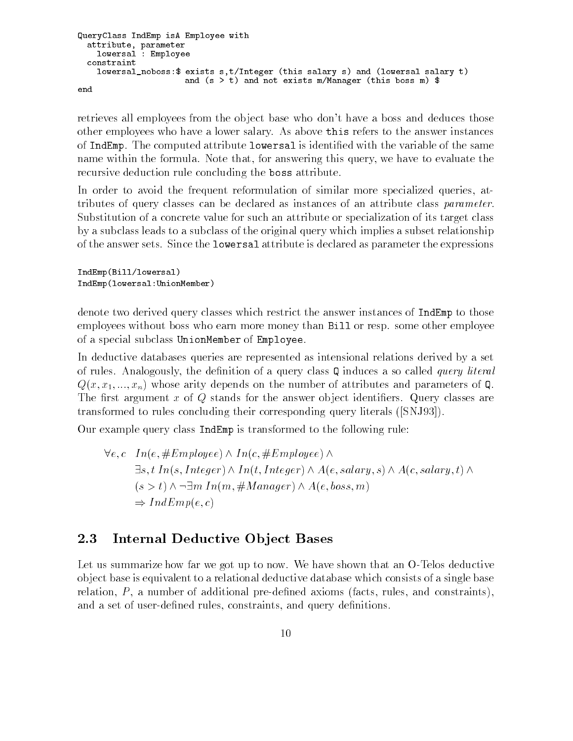```
QueryClass IndEmp isA Employee with
 attribute, parameter
    lowersal : Employee
 constraint
    lowersal_noboss:$ exists s,t/Integer (this salary s) and (lowersal salary t)
                      and (s > t) and not exists m/Manager (this boss m) $
end
```
retrieves all employees from the ob ject base who don't have a boss and deduces those other employees who have a lower salary. As above this refers to the answer instances of IndEmp. The computed attribute lowersal is identied with the variable of the same name within the formula. Note that, for answering this query, we have to evaluate the recursive deduction rule concluding the boss attribute.

In order to avoid the frequent reformulation of similar more specialized queries, attributes of query classes can be declared as instances of an attribute class parameter. Substitution of a concrete value for such an attribute or specialization of its target class by a subclass leads to a subclass of the original query which implies a subset relationship of the answer sets. Since the lowersal attribute is declared as parameter the expressions

IndEmp(Bill/lowersal) IndEmp(lowersal:UnionMember)

denote two derived query classes which restrict the answer instances of IndEmp to those employees without boss who earn more money than Bill or resp. some other employee of a special subclass UnionMember of Employee.

In deductive databases queries are represented as intensional relations derived by a set of rules. Analogously, the definition of a query class  $Q$  induces a so called *query literal*  $Q(x, x_1, ..., x_n)$  whose arity depends on the number of attributes and parameters of Q. The first argument x of  $Q$  stands for the answer object identifiers. Query classes are transformed to rules concluding their corresponding query literals ([SNJ93]).

Our example query class IndEmp is transformed to the following rule:

$$
\forall e, c \ In(e, \#Employee) \land In(c, \#Employee) \land \exists s, t \ In(s, Integer) \land In(t, Integer) \land A(e, salary, s) \land A(c, salary, t) \land (s > t) \land \neg \exists m \ In(m, \#Manager) \land A(e, boss, m) \Rightarrow IndEmp(e, c)
$$

### 2.3 Internal Deductive Object Bases

Let us summarize how far we got up to now. We have shown that an O-Telos deductive ob ject base is equivalent to a relational deductive database which consists of a single base relation,  $P$ , a number of additional pre-defined axioms (facts, rules, and constraints), and a set of user-defined rules, constraints, and query definitions.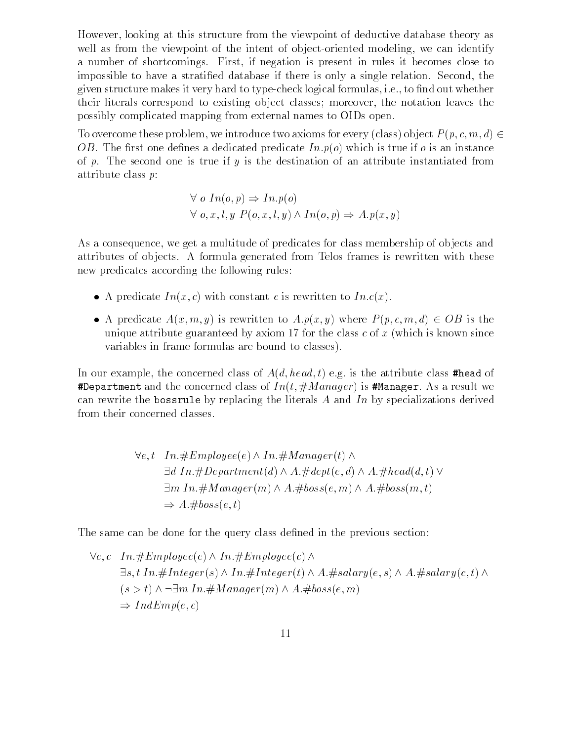However, looking at this structure from the viewpoint of deductive database theory as well as from the viewpoint of the intent of object-oriented modeling, we can identify a number of shortcomings. First, if negation is present in rules it becomes close to impossible to have a stratied database if there is only a single relation. Second, the given structure makes it very hard to type-check logical formulas, i.e., to find out whether their literals correspond to existing ob ject classes; moreover, the notation leaves the possibly complicated mapping from external names to OIDs open.

To overcome these problem, we introduce two axioms for every (class) object  $P(p, c, m, d) \in$ OB. The first one defines a dedicated predicate  $Inp(o)$  which is true if o is an instance of p. The second one is true if y is the destination of an attribute instantiated from attribute class p:

$$
\forall o \ In(o, p) \Rightarrow In.p(o)
$$
  

$$
\forall o, x, l, y \ P(o, x, l, y) \land In(o, p) \Rightarrow A.p(x, y)
$$

As a consequence, we get a multitude of predicates for class membership of ob jects and attributes of objects. A formula generated from Telos frames is rewritten with these new predicates according the following rules:

- $\bullet$  A predicate In(x, c) with constant c is rewritten to In.c(x).
- A predicate  $A(x, m, y)$  is rewritten to  $A.p(x, y)$  where  $P(p, c, m, d) \in OB$  is the unique attribute guaranteed by axiom 17 for the class  $c$  of  $x$  (which is known since variables in frame formulas are bound to classes).

In our example, the concerned class of  $A(d, head, t)$  e.g. is the attribute class #head of #Department and the concerned class of  $In(t, \#Manager)$  is #Manager. As a result we can rewrite the bossrule by replacing the literals A and In by specializations derived from their concerned classes.

$$
\forall e, t \quad In. \#Employee(e) \land In. \#Manager(t) \land
$$
  
\n
$$
\exists d \ In. \#Department(d) \land A. \#dept(e, d) \land A. \# head(d, t) \lor
$$
  
\n
$$
\exists m \ In. \#Manager(m) \land A. \# boss(e, m) \land A. \# boss(m, t)
$$
  
\n
$$
\Rightarrow A. \# boss(e, t)
$$

The same can be done for the query class defined in the previous section:

$$
\forall e, c \ In. \#Employee(e) \land In. \#Employee(c) \land
$$
  
\n
$$
\exists s, t \ In. \#Integer(s) \land In. \#Integer(t) \land A. \# salary(e, s) \land A. \# salary(c, t) \land
$$
  
\n
$$
(s > t) \land \neg \exists m \ In. \# Manager(m) \land A. \# boss(e, m)
$$
  
\n
$$
\Rightarrow IndEmp(e, c)
$$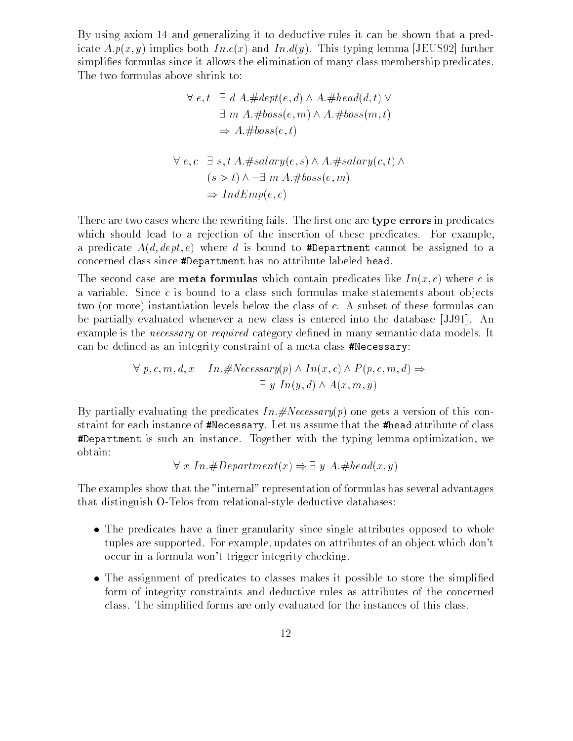By using axiom 14 and generalizing it to deductive rules it can be shown that a predicate  $A.p(x, y)$  implies both  $In.c(x)$  and  $In.d(y)$ . This typing lemma [JEUS92] further simplies formulas since it allows the elimination of many class membership predicates. The two formulas above shrink to:

$$
\forall e, t \quad \exists d \ A. \# dept(e, d) \land A. \# head(d, t) \lor \n\exists m \ A. \# boss(e, m) \land A. \# boss(m, t) \n\Rightarrow A. \# boss(e, t) \n\forall e, c \quad \exists s, t \ A. \# salary(e, s) \land A. \# salary(c, t) \land \n(s > t) \land \neg \exists m \ A. \# boss(e, m) \n\Rightarrow IndEmp(e, c)
$$

There are two cases where the rewriting fails. The first one are type errors in predicates which should lead to a rejection of the insertion of these predicates. For example, a predicate  $A(d, dept, e)$  where d is bound to #Department cannot be assigned to a concerned class since #Department has no attribute labeled head.

The second case are **meta formulas** which contain predicates like  $In(x, c)$  where c is a variable. Since  $c$  is bound to a class such formulas make statements about objects two (or more) instantiation levels below the class of c. A subset of these formulas can be partially evaluated whenever a new class is entered into the database [JJ91]. An example is the *necessary* or *required* category defined in many semantic data models. It can be defined as an integrity constraint of a meta class #Necessary:

> $\forall p, c, m, d, x \quad In. \# Necessary(p) \land In(x, c) \land P(p, c, m, d) \Rightarrow$  $\exists y \ In(y,d) \wedge A(x,m,y)$

By partially evaluating the predicates  $In. \# Necessary(p)$  one gets a version of this constraint for each instance of #Necessary. Let us assume that the #head attribute of class #Department is such an instance. Together with the typing lemma optimization, we obtain:

 $\forall x \ In \#Department(x) \Rightarrow \exists y \ A. \#head(x, y)$ 

The examples show that the "internal" representation of formulas has several advantages that distinguish O-Telos from relational-style deductive databases:

- $\bullet$  The predicates have a finer granularity since single attributes opposed to whole tuples are supported. For example, updates on attributes of an ob ject which don't occur in a formula won't trigger integrity checking.
- $\bullet$  The assignment of predicates to classes makes it possible to store the simplified  $\bullet$ form of integrity constraints and deductive rules as attributes of the concerned class. The simplied forms are only evaluated for the instances of this class.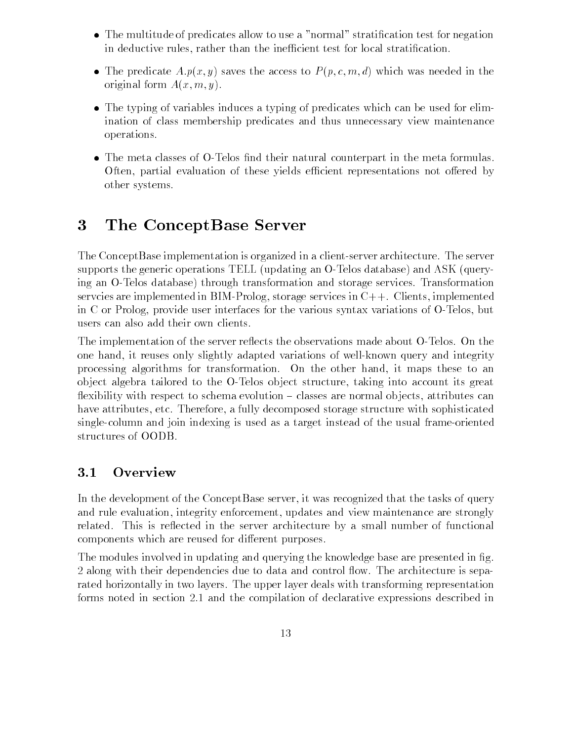- $\bullet$  . The multitude of predicates allow to use a "normal" stratification test for negation  $\bullet$ in deductive rules, rather than the inefficient test for local stratification.
- $\bullet$  -the predicate  $A.p(x,y)$  saves the access to  $P(p,c,m,d)$  which was needed in the original form  $A(x, m, y)$ .
- $\bullet$  The typing of variables induces a typing of predicates which can be used for elimination of class membership predicates and thus unnecessary view maintenance operations.
- $\bullet$  The meta classes of O-Telos find their natural counterpart in the meta formulas. Often, partial evaluation of these yields efficient representations not offered by other systems.

#### $\bf{3}$ The ConceptBase Server

The ConceptBase implementation is organized in a client-server architecture. The server supports the generic operations TELL (updating an O-Telos database) and ASK (querying an O-Telos database) through transformation and storage services. Transformation servcies are implemented in BIM-Prolog, storage services in C++. Clients, implemented in C or Prolog, provide user interfaces for the various syntax variations of O-Telos, but users can also add their own clients.

The implementation of the server reflects the observations made about O-Telos. On the one hand, it reuses only slightly adapted variations of well-known query and integrity processing algorithms for transformation. On the other hand, it maps these to an ob ject algebra tailored to the O-Telos ob ject structure, taking into account its great flexibility with respect to schema evolution  $-$  classes are normal objects, attributes can have attributes, etc. Therefore, a fully decomposed storage structure with sophisticated single-column and join indexing is used as a target instead of the usual frame-oriented structures of OODB.

## 3.1 Overview

In the development of the ConceptBase server, it was recognized that the tasks of query and rule evaluation, integrity enforcement, updates and view maintenance are strongly related. This is reflected in the server architecture by a small number of functional components which are reused for different purposes.

The modules involved in updating and querving the knowledge base are presented in fig. 2 along with their dependencies due to data and control flow. The architecture is separated horizontally in two layers. The upper layer deals with transforming representation forms noted in section 2.1 and the compilation of declarative expressions described in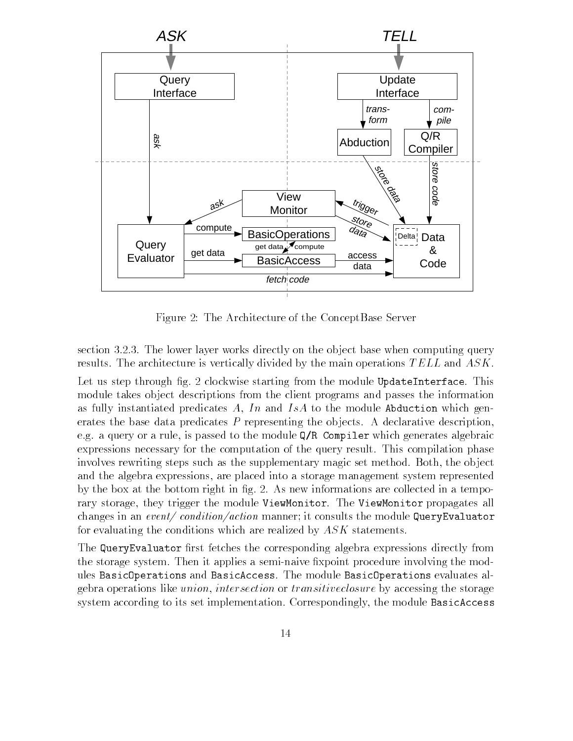

Figure 2: The Architecture of the ConceptBase Server

section 3.2.3. The lower layer works directly on the object base when computing query results. The architecture is vertically divided by the main operations TELL and ASK.

Let us step through fig. 2 clockwise starting from the module UpdateInterface. This module takes ob ject descriptions from the client programs and passes the information as fully instantiated predicates A, In and IsA to the module Abduction which generates the base data predicates  $P$  representing the objects. A declarative description, e.g. a query or a rule, is passed to the module Q/R Compiler which generates algebraic expressions necessary for the computation of the query result. This compilation phase involves rewriting steps such as the supplementary magic set method. Both, the object and the algebra expressions, are placed into a storage management system represented by the box at the bottom right in fig. 2. As new informations are collected in a temporary storage, they trigger the module ViewMonitor. The ViewMonitor propagates all changes in an event/ condition/action manner; it consults the module QueryEvaluator for evaluating the conditions which are realized by  $ASK$  statements.

The QueryEvaluator first fetches the corresponding algebra expressions directly from the storage system. Then it applies a semi-naive fixpoint procedure involving the modules BasicOperations and BasicAccess. The module BasicOperations evaluates algebra operations like union, intersection or transitiveclosure by accessing the storage system according to its set implementation. Correspondingly, the module BasicAccess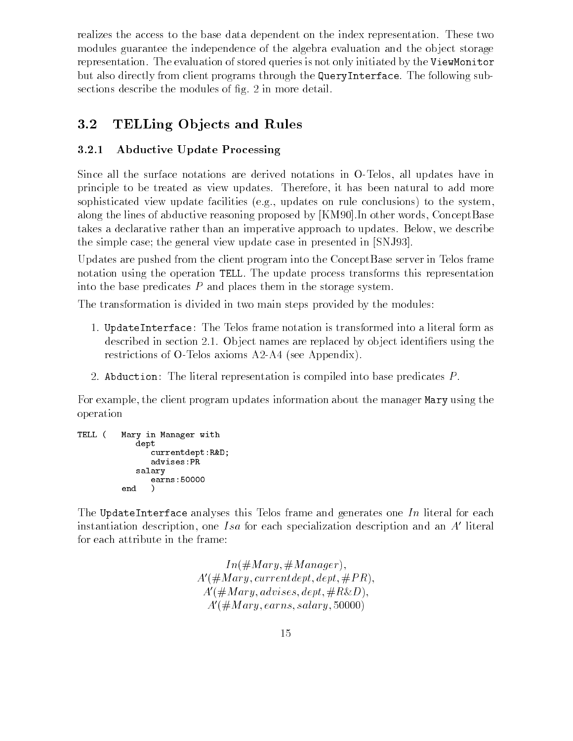realizes the access to the base data dependent on the index representation. These two modules guarantee the independence of the algebra evaluation and the object storage representation. The evaluation of stored queries is not only initiated by the ViewMonitor but also directly from client programs through the QueryInterface. The following subsections describe the modules of fig. 2 in more detail.

# 3.2 TELLing Ob jects and Rules

### 3.2.1 Abductive Update Processing

Since all the surface notations are derived notations in O-Telos, all updates have in principle to be treated as view updates. Therefore, it has been natural to add more sophisticated view update facilities (e.g., updates on rule conclusions) to the system, along the lines of abductive reasoning proposed by [KM90].In other words, ConceptBase takes a declarative rather than an imperative approach to updates. Below, we describe the simple case; the general view update case in presented in [SNJ93].

Updates are pushed from the client program into the ConceptBase server in Telos frame notation using the operation TELL. The update process transforms this representation into the base predicates P and places them in the storage system.

The transformation is divided in two main steps provided by the modules:

- 1. UpdateInterface: The Telos frame notation is transformed into a literal form as described in section 2.1. Object names are replaced by object identifiers using the restrictions of O-Telos axioms A2-A4 (see Appendix).
- 2. Abduction: The literal representation is compiled into base predicates P .

For example, the client program updates information about the manager Mary using the operation

```
TELL ( Mary in Manager with
            dept
               currentdept:R&D;
               advises:PR
            salary
               earns:50000
         end )
```
The UpdateInterface analyses this Telos frame and generates one In literal for each instantiation description, one Isa for each specialization description and an  $A<sup>'</sup>$  literal for each attribute in the frame:

> $In (\# Mary, \# Manager),$  $A'(\# Mary, current dept, dept, \# PR),$  $A'(\# Mary, advises, dept, \#R\&D),$  $A'(\text{\#Mary}, earns, salary, 50000)$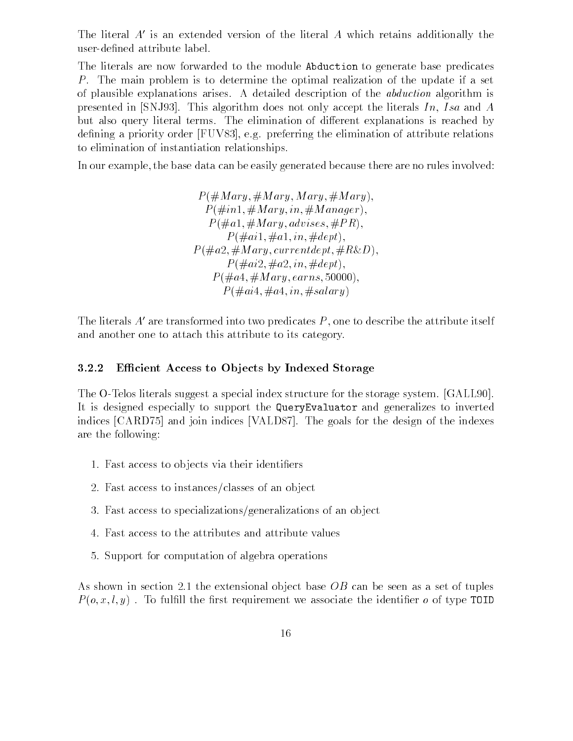The literal  $A'$  is an extended version of the literal A which retains additionally the user-dened attribute label.

The literals are now forwarded to the module Abduction to generate base predicates P. The main problem is to determine the optimal realization of the update if a set of plausible explanations arises. A detailed description of the abduction algorithm is presented in [SNJ93]. This algorithm does not only accept the literals  $In, Isa$  and  $A$ but also query literal terms. The elimination of different explanations is reached by defining a priority order [FUV83], e.g. preferring the elimination of attribute relations to elimination of instantiation relationships.

In our example, the base data can be easily generated because there are no rules involved:

 $P(\# Mary, \# Mary, Mary, \# Mary),$  $P(\text{\#}in1,\text{\#}Mary,in,\text{\#}Manager),$  $P(\text{\#}a1,\text{\#}Mary, \text{advises}, \text{\#}PR),$  $P(\text{\#ail}, \text{\#al}, in, \text{\#depth}),$  $P(\text{\#}a2,\text{\#}Mary, currentdept, \text{\#}R\&D),$  $P(\text{\#}ai2, \text{\#}a2, in, \text{\#}dept),$  $P(\text{\#}a4, \text{\#}Mary, earns, 50000),$  $P(\text{\#}ai4,\text{\#}a4,in,\text{\#}salary)$ 

The literals  $A'$  are transformed into two predicates  $P$ , one to describe the attribute itself and another one to attach this attribute to its category.

#### 3.2.2 Efficient Access to Objects by Indexed Storage

The O-Telos literals suggest a special index structure for the storage system. [GALL90]. It is designed especially to support the QueryEvaluator and generalizes to inverted indices [CARD75] and join indices [VALD87]. The goals for the design of the indexes are the following:

- 1. Fast access to ob jects via their identiers
- 2. Fast access to instances/classes of an object
- 3. Fast access to specializations/generalizations of an ob ject
- 4. Fast access to the attributes and attribute values
- 5. Support for computation of algebra operations

As shown in section 2.1 the extensional object base  $OB$  can be seen as a set of tuples  $P(o, x, l, y)$ . To fulfill the first requirement we associate the identifier o of type TOID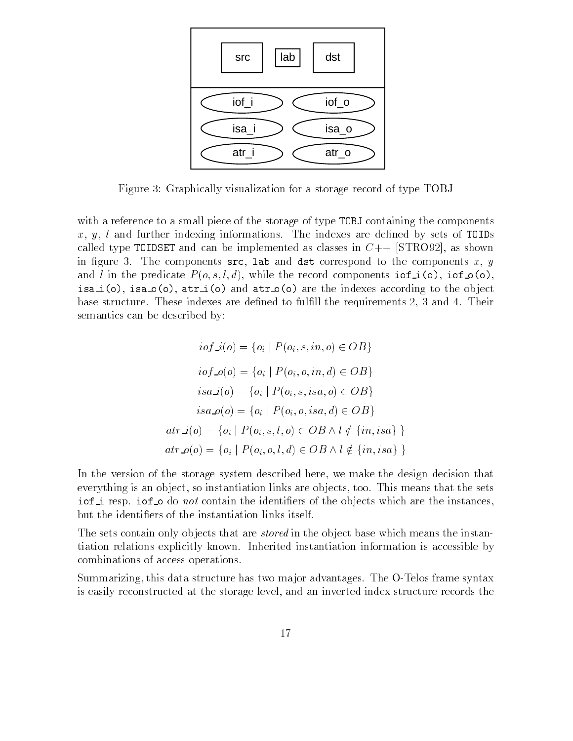

Figure 3: Graphically visualization for a storage record of type TOBJ

with a reference to a small piece of the storage of type TOBJ containing the components  $x, y, l$  and further indexing informations. The indexes are defined by sets of TOIDs called type TOIDSET and can be implemented as classes in  $C++$  [STRO92], as shown in figure 3. The components  $src$ , lab and dst correspond to the components x, y and l in the predicate  $P(o, s, l, d)$ , while the record components  $\texttt{iof\_i}(o)$ ,  $\texttt{iof\_o}(o)$ , isa\_i(o), isa\_o(o), atr\_i(o) and atr\_o(o) are the indexes according to the object base structure. These indexes are defined to fulfill the requirements 2, 3 and 4. Their semantics can be described by:

$$
iof\_i(o) = \{o_i \mid P(o_i, s, in, o) \in OB\}
$$
  
\n
$$
iof\_o(o) = \{o_i \mid P(o_i, o, in, d) \in OB\}
$$
  
\n
$$
isa\_i(o) = \{o_i \mid P(o_i, s, isa, o) \in OB\}
$$
  
\n
$$
isa\_o(o) = \{o_i \mid P(o_i, o, isa, d) \in OB\}
$$
  
\n
$$
atr\_i(o) = \{o_i \mid P(o_i, s, l, o) \in OB \land l \notin \{in, isa\}\}
$$
  
\n
$$
atr\_o(o) = \{o_i \mid P(o_i, o, l, d) \in OB \land l \notin \{in, isa\}\}
$$

In the version of the storage system described here, we make the design decision that everything is an object, so instantiation links are objects, too. This means that the sets iof i resp. iof  $\circ$  do not contain the identifiers of the objects which are the instances, but the identiers of the instantiation links itself.

The sets contain only objects that are *stored* in the object base which means the instantiation relations explicitly known. Inherited instantiation information is accessible by combinations of access operations.

Summarizing, this data structure has two ma jor advantages. The O-Telos frame syntax is easily reconstructed at the storage level, and an inverted index structure records the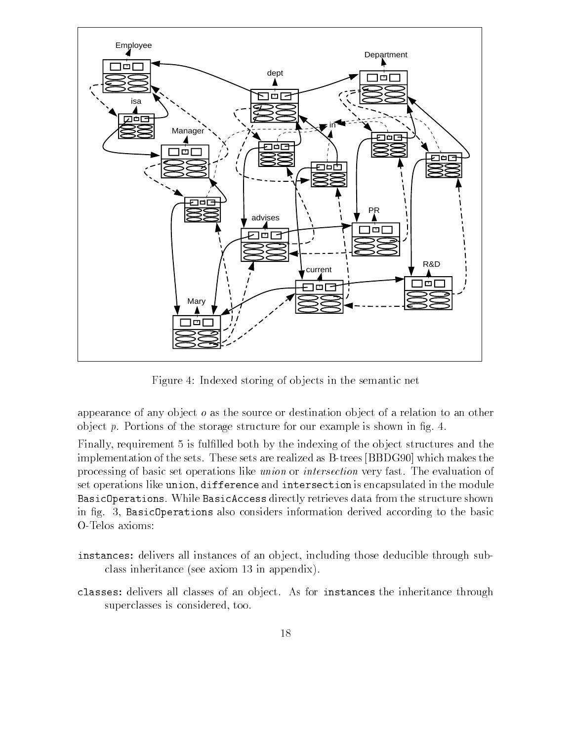

Figure 4: Indexed storing of ob jects in the semantic net

appearance of any object *o* as the source or destination object of a relation to an other object  $p$ . Portions of the storage structure for our example is shown in fig. 4.

Finally, requirement 5 is fulfilled both by the indexing of the object structures and the implementation of the sets. These sets are realized as B-trees [BBDG90] which makes the processing of basic set operations like union or intersection very fast. The evaluation of set operations like union, difference and intersection is encapsulated in the module BasicOperations. While BasicAccess directly retrieves data from the structure shown in fig. 3, BasicOperations also considers information derived according to the basic O-Telos axioms:

- instances: delivers all instances of an object, including those deducible through subclass inheritance (see axiom 13 in appendix).
- classes: delivers all classes of an ob ject. As for instances the inheritance through superclasses is considered, too.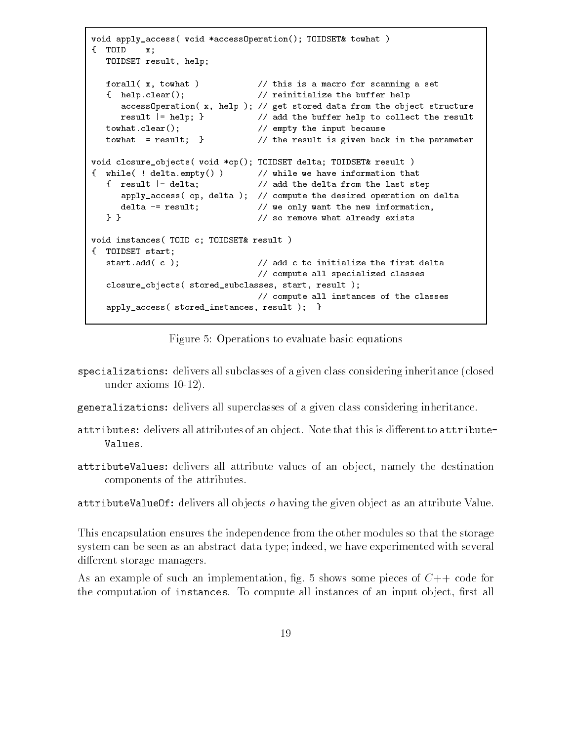```
void apply_access( void *accessOperation(); TOIDSET& towhat )
{ TOID x;
  TOIDSET result, help;
  forall( x, towhat ) // this is a macro for scanning a set
  { help.clear(); // reinitialize the buffer help
     accessOperation( x, help ); // get stored data from the object structure
     result |= help; } // add the buffer help to collect the result
  towhat.clear(); // empty the input because
  towhat |= result; } // the result is given back in the parameter
void closure_objects( void *op(); TOIDSET delta; TOIDSET& result )
{ while( ! delta.empty() ) // while we have information that
  { result |= delta; // add the delta from the last step
     apply_access( op, delta ); // compute the desired operation on delta
     delta -= result; \frac{1}{2} we only want the new information,
  } } // so remove what already exists
void instances( TOID c; TOIDSET& result )
{ TOIDSET start;
  start.add( c ); \frac{1}{2} add c to initialize the first delta
                              // compute all specialized classes
  closure_objects( stored_subclasses, start, result );
                              // compute all instances of the classes
  apply_access( stored_instances, result ); }
```
Figure 5: Operations to evaluate basic equations

- specializations: delivers all subclasses of a given class considering inheritance (closed under axioms 10-12).
- generalizations: delivers all superclasses of a given class considering inheritance.
- attributes: delivers all attributes of an object. Note that this is different to attribute-Values.
- attributeValues: delivers all attribute values of an ob ject, namely the destination components of the attributes.

attributeValueOf: delivers all objects *o* having the given object as an attribute Value.

This encapsulation ensures the independence from the other modules so that the storage system can be seen as an abstract data type; indeed, we have experimented with several different storage managers.

As an example of such an implementation, fig. 5 shows some pieces of  $C++$  code for the computation of instances. To compute all instances of an input object, first all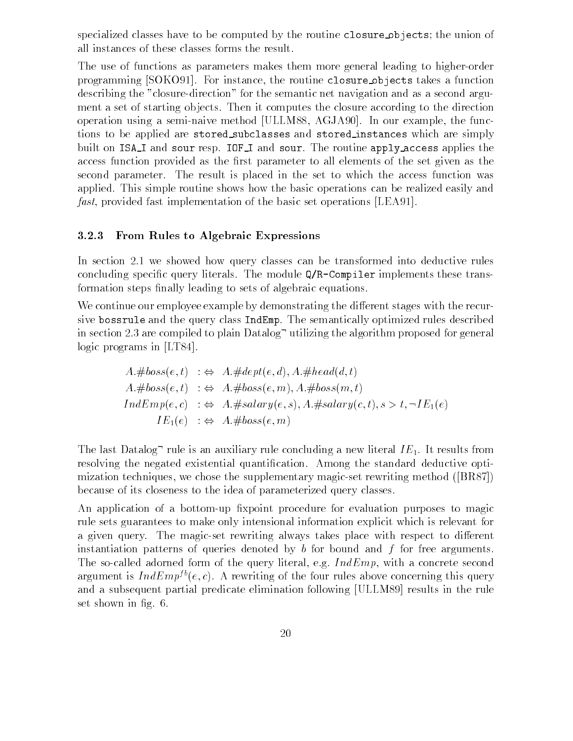specialized classes have to be computed by the routine closure objects; the union of all instances of these classes forms the result.

The use of functions as parameters makes them more general leading to higher-order programming [SOKO91]. For instance, the routine closure objects takes a function describing the "closure-direction" for the semantic net navigation and as a second argument a set of starting objects. Then it computes the closure according to the direction operation using a semi-naive method [ULLM88, AGJA90]. In our example, the functions to be applied are stored subclasses and stored instances which are simply built on ISA<sub>I</sub> and sour resp. IOF<sub>I</sub> and sour. The routine apply access applies the access function provided as the first parameter to all elements of the set given as the second parameter. The result is placed in the set to which the access function was applied. This simple routine shows how the basic operations can be realized easily and fast, provided fast implementation of the basic set operations [LEA91].

### 3.2.3 From Rules to Algebraic Expressions

In section 2.1 we showed how query classes can be transformed into deductive rules concluding specific query literals. The module  $Q/R$ -Compiler implements these transformation steps finally leading to sets of algebraic equations.

We continue our employee example by demonstrating the different stages with the recursive bossrule and the query class IndEmp. The semantically optimized rules described in section 2.3 are compiled to plain  $\text{Database}^-$  utilizing the algorithm proposed for general logic programs in [LT84].

$$
A. \# boss(e, t) : \Leftrightarrow A. \#dept(e, d), A. \# head(d, t)
$$
  
\n
$$
A. \# boss(e, t) : \Leftrightarrow A. \# boss(e, m), A. \# boss(m, t)
$$
  
\n
$$
IndEmp(e, c) : \Leftrightarrow A. \# salary(e, s), A. \# salary(c, t), s > t, \neg IE_1(e)
$$
  
\n
$$
IE_1(e) : \Leftrightarrow A. \# boss(e, m)
$$

The last Datalog<sup>-</sup> rule is an auxiliary rule concluding a new literal  $IE_1$ . It results from resolving the negated existential quantification. Among the standard deductive optimization techniques, we chose the supplementary magic-set rewriting method ([BR87]) because of its closeness to the idea of parameterized query classes.

An application of a bottom-up fixpoint procedure for evaluation purposes to magic rule sets guarantees to make only intensional information explicit which is relevant for a given query. The magic-set rewriting always takes place with respect to different instantiation patterns of queries denoted by  $b$  for bound and  $f$  for free arguments. The so-called adorned form of the query literal, e.g.  $IndEmp$ , with a concrete second argument is  $IndEmp^{fb}(e, c)$ . A rewriting of the four rules above concerning this query and a subsequent partial predicate elimination following [ULLM89] results in the rule set shown in fig. 6.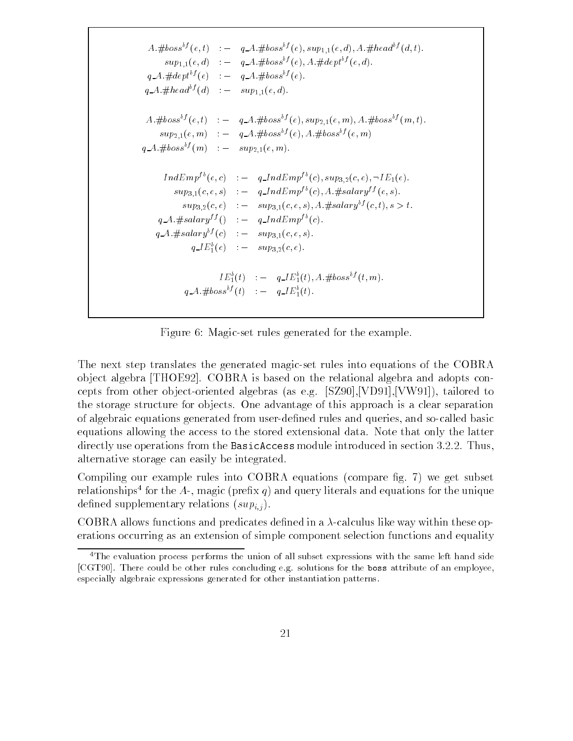$A. \# boss^{bf}(e, t) \quad : - \quad q \_A. \# boss^{bf}(e), sup_{1,1}(e, d), A. \# head^{bf}(d, t).$  $sup_{1,1}(e,d)$  :  $q\_{A}$ :#boss<sup>bf</sup>(e), A:#dept<sup>bf</sup>(e,d).  $q_A \# depth^b(e)$  :  $- q_A \# boss^b(e).$  $q_A \# head^{bf}(d) \quad : \quad \sup_{1 \leq l} (e, d).$  $A. \# boss^{bf}(e, t) \quad : - \quad q = A. \# boss^{bf}(e), \, sup_{2} (e, m), A. \# boss^{bf}(m, t).$  $sup_{2,1}(e,m)$  :  $q_A A \# boss^{bf}(e), A \# boss^{bf}(e,m)$  $q_A \# \text{loss}^{bf}(m)$  :  $-$  sup<sub>2,1</sub>(e, m).  $IndEmp^{fb}(e, c) \quad : \quad q\_IndEmp^{fb}(c), sup_{3,2}(c, e), \neg IE_1(e).$  $sup_{3,1}(c, e, s)$  :  $q\_IndEmp^{fb}(c), A. \# salary^{ff}(e, s).$  $sup_{3,2}(c, e)$  :  $- sup_{3,1}(c, e, s), A \# salary^{bf}(c, t), s > t.$  $q_A \# salary^{ff}() \quad : \quad q_A \# temp^{fb}(c).$  $q_A \neq salary^{bf}(c)$  :  $-sup_{3,1}(c,e,s)$ .  $q \perp E_1(e)$  :  $=$   $sup_{3,2}(c,e)$ .  $IL_1(t) = q_l L_1(t), A. \#00ss^2(t, m).$  $q_A: \#poss^{\sim}(t) \quad : \quad q_A \bot \quad t_1(t).$ 

Figure 6: Magic-set rules generated for the example.

The next step translates the generated magic-set rules into equations of the COBRA ob ject algebra [THOE92]. COBRA is based on the relational algebra and adopts concepts from other ob ject-oriented algebras (as e.g. [SZ90],[VD91],[VW91]), tailored to the storage structure for ob jects. One advantage of this approach is a clear separation of algebraic equations generated from user-dened rules and queries, and so-called basic equations allowing the access to the stored extensional data. Note that only the latter directly use operations from the BasicAccess module introduced in section 3.2.2. Thus, alternative storage can easily be integrated.

Compiling our example rules into COBRA equations (compare fig. 7) we get subset relationships flor the  $A$ -, magic (prefix  $q$ ) and query literals and equations for the unique defined supplementary relations  $(sup_{i,j})$ .

COBRA allows functions and predicates defined in a  $\lambda$ -calculus like way within these operations occurring as an extension of simple component selection functions and equality

<sup>&</sup>lt;sup>4</sup>The evaluation process performs the union of all subset expressions with the same left hand side [CGT90]. There could be other rules concluding e.g. solutions for the boss attribute of an employee, especially algebraic expressions generated for other instantiation patterns.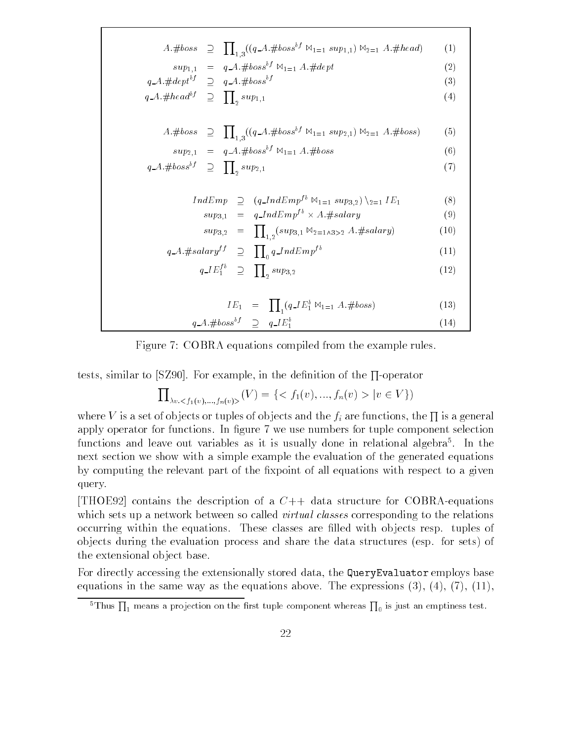$A. \# boss \supset \prod_{(q \in A, \# boss}^{q} \mathbb{M}_{1=1} \sup_{(q \in A, \#beas}^{q} \mathbb{M}_{1=1} \sup_{(q \in A, \#head)} \mathbb{M}_{2=1}$ 1;3  $sup_{1,1} = q_A. \#loss \cdot \mathbb{W}_{1=1} A. \#aept$  (2)  $q_A: \# \text{dept}^{i,j} \quad \supseteq \quad q_A: \# \text{ boss}^{i,j}$  (3)  $q = A \cdot \# \text{head}^{bf} \quad \supset \quad \prod_{2} \, \sup_{1,1} \,$  (4)  $A. \# boss \supset \prod_{(q = A, \# boss}^{q} \mathbb{M}_{1=1} \, sup_{2,1}) \, \mathbb{M}_{2=1} \, A. \# boss)$  (5) 1;3  $sup_{2,1} = q \, A \cdot \# boss^{bf} \bowtie_{1=1} A \cdot \# boss$  (6)  $q.A. \# boss^{bf} \supseteq \prod_{\alpha} sup_{2,1}$  $2 \tbinom{1}{2}$  $IndEmp \supseteq (q\_IndEmp^{fb} \bowtie_{1=1} sup_{3,2}) \geq (8)$  $sup_{3,1} = q\_IndEmp^{\prime\circ} \times A.*j$  $sup_{3,2} = \prod_{1,2} (sup_{3,1} \boxtimes_{2=1} \triangle_{3>2} A.\#salary)$  (10)  $q_A \# salary^{ff} \supseteq \prod_{0} q\_IndEmp^{fb}$  (11)  $q \, \overline{E}_1^{fb} \quad \supseteq \quad \prod_2 \, \sup_{3,2} \tag{12}$  $IE_1 = \prod_{q} (q \cdot IE_1^b \boxtimes_{1=1} A. \# boss)$  (13)  $q \triangle A$ .#boss<sup>bf</sup>  $\supset q \triangle I E_1^b$ 1 and 1 and 1 and 1 and 1 and 1  $\lambda$ 

Figure 7: COBRA equations compiled from the example rules.

tests, similar to  $|S290|$ . For example, in the definition of the  $\Pi$ -operator

 $\prod_{y \in \mathcal{A}(y)} f(y) = \{ \langle f_1(v), ..., f_n(v) \rangle | v \in V \}$ v:<f1 (v);:::;fn(v)>

where V is a set of objects or tuples of objects and the  $f_i$  are functions, the  $\prod$  is a general apply operator for functions. In figure 7 we use numbers for tuple component selection functions and leave out variables as it is usually done in relational algebra5 . In the next section we show with a simple example the evaluation of the generated equations by computing the relevant part of the fixpoint of all equations with respect to a given query.

[THOE92] contains the description of a  $C++$  data structure for COBRA-equations which sets up a network between so called *virtual classes* corresponding to the relations occurring within the equations. These classes are filled with objects resp. tuples of ob jects during the evaluation process and share the data structures (esp. for sets) of the extensional ob ject base.

For directly accessing the extensionally stored data, the QueryEvaluator employs base equations in the same way as the equations above. The expressions  $(3)$ ,  $(4)$ ,  $(7)$ ,  $(11)$ ,

 $^5$ Thus  $\prod_1$  means a projection on the first tuple component whereas  $\prod_0$  is just an emptiness test.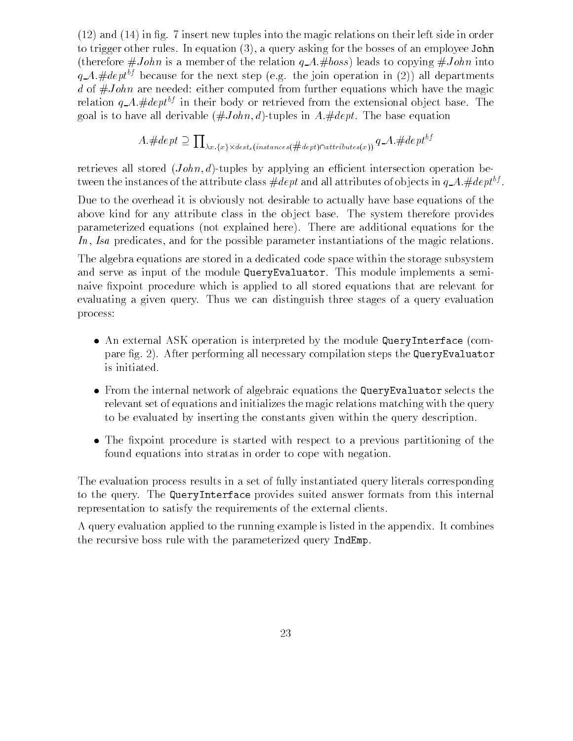$(12)$  and  $(14)$  in fig. 7 insert new tuples into the magic relations on their left side in order to trigger other rules. In equation (3), a query asking for the bosses of an employee John (therefore  $\#John$  is a member of the relation  $q_A$ .  $\#boss$ ) leads to copying  $\#John$  into  $q_A$ :#dept<sup>bf</sup> because for the next step (e.g. the join operation in (2)) all departments d of  $\#John$  are needed: either computed from further equations which have the magic relation  $q_A$ .#dept<sup>bf</sup> in their body or retrieved from the extensional object base. The goal is to have all derivable  $(\#John, d)$ -tuples in A.#dept. The base equation

$$
A.\#dept \supseteq \textstyle\prod_{\lambda x. \{x\} \times dest_s (instances (\#dept) \cap attributes(x))} q\_A.\# depth^{bf}
$$

retrieves all stored  $(John, d)$ -tuples by applying an efficient intersection operation between the instances of the attribute class  $\#\alpha e p t$  and all attributes of objects in  $q_- A$  .  $\#\alpha e p t^+$  .

Due to the overhead it is obviously not desirable to actually have base equations of the above kind for any attribute class in the object base. The system therefore provides parameterized equations (not explained here). There are additional equations for the In, Isa predicates, and for the possible parameter instantiations of the magic relations.

The algebra equations are stored in a dedicated code space within the storage subsystem and serve as input of the module QueryEvaluator. This module implements a seminaive fixpoint procedure which is applied to all stored equations that are relevant for evaluating a given query. Thus we can distinguish three stages of a query evaluation process:

- An external ASK operation is interpreted by the module QueryInterface (compare fig. 2). After performing all necessary compilation steps the QueryEvaluator is initiated.
- $\bullet$  -from the internal network of algebraic equations the <code>QueryEvaluator</code> selects the relevant set of equations and initializes the magic relations matching with the query to be evaluated by inserting the constants given within the query description.
- $\bullet$  The fixpoint procedure is started with respect to a previous partitioning of the  $\hspace{0.1mm}$ found equations into stratas in order to cope with negation.

The evaluation process results in a set of fully instantiated query literals corresponding to the query. The QueryInterface provides suited answer formats from this internal representation to satisfy the requirements of the external clients.

A query evaluation applied to the running example is listed in the appendix. It combines the recursive boss rule with the parameterized query IndEmp.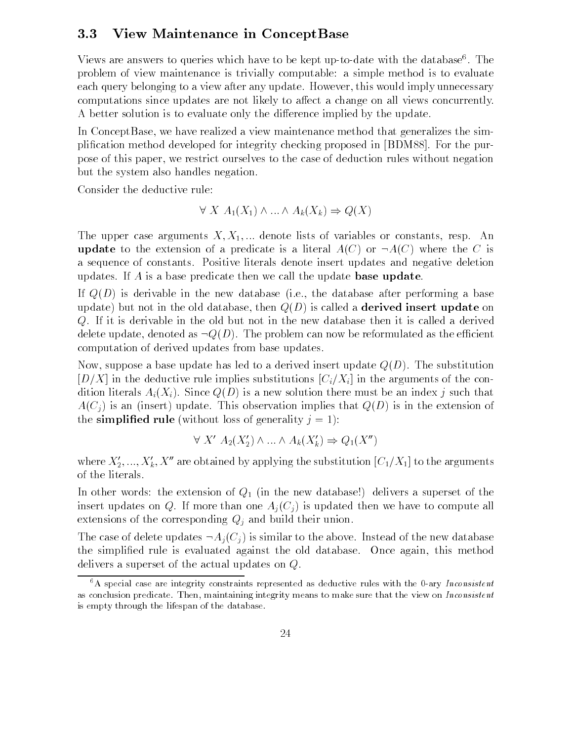### 3.3 View Maintenance in ConceptBase

views are allswers to queries which have to be kept up-to-date with the database . The problem of view maintenance is trivially computable: a simple method is to evaluate each query belonging to a view after any update. However, this would imply unnecessary computations since updates are not likely to affect a change on all views concurrently. A better solution is to evaluate only the difference implied by the update.

In ConceptBase, we have realized a view maintenance method that generalizes the simplication method developed for integrity checking proposed in [BDM88]. For the purpose of this paper, we restrict ourselves to the case of deduction rules without negation but the system also handles negation.

Consider the deductive rule:

$$
\forall X A_1(X_1) \land \dots \land A_k(X_k) \Rightarrow Q(X)
$$

The upper case arguments  $X, X_1, \ldots$  denote lists of variables or constants, resp. An update to the extension of a predicate is a literal  $A(C)$  or  $\neg A(C)$  where the C is a sequence of constants. Positive literals denote insert updates and negative deletion updates. If  $\vec{A}$  is a base predicate then we call the update base update.

If  $Q(D)$  is derivable in the new database (i.e., the database after performing a base update) but not in the old database, then  $Q(D)$  is called a **derived insert update** on Q. If it is derivable in the old but not in the new database then it is called a derived delete update, denoted as  $\neg Q(D)$ . The problem can now be reformulated as the efficient computation of derived updates from base updates.

Now, suppose a base update has led to a derived insert update  $Q(D)$ . The substitution [D/X] in the deductive rule implies substitutions  $[C_i/X_i ]$  in the arguments of the condition literals  $A_i(X_i)$ . Since  $Q(D)$  is a new solution there must be an index j such that  $A(C_i)$  is an (insert) update. This observation implies that  $Q(D)$  is in the extension of the simplified rule (without loss of generality  $j = 1$ ):

$$
\forall X' A_2(X_2') \land \dots \land A_k(X_k') \Rightarrow Q_1(X'')
$$

where  $X'_2, ..., X'_k, X''$  are obtained by applying the substitution  $[C_1/X_1]$  to the arguments of the literals.

In other words: the extension of  $Q_1$  (in the new database!) delivers a superset of the insert updates on Q. If more than one  $A_i(C_i)$  is updated then we have to compute all extensions of the corresponding  $Q_j$  and build their union.

The case of delete updates  $\neg A_i(C_i)$  is similar to the above. Instead of the new database the simplied rule is evaluated against the old database. Once again, this method delivers a superset of the actual updates on Q.

 $6A$  special case are integrity constraints represented as deductive rules with the 0-ary Inconsistent as conclusion predicate. Then, maintaining integrity means to make sure that the view on Inconsistent is empty through the lifespan of the database.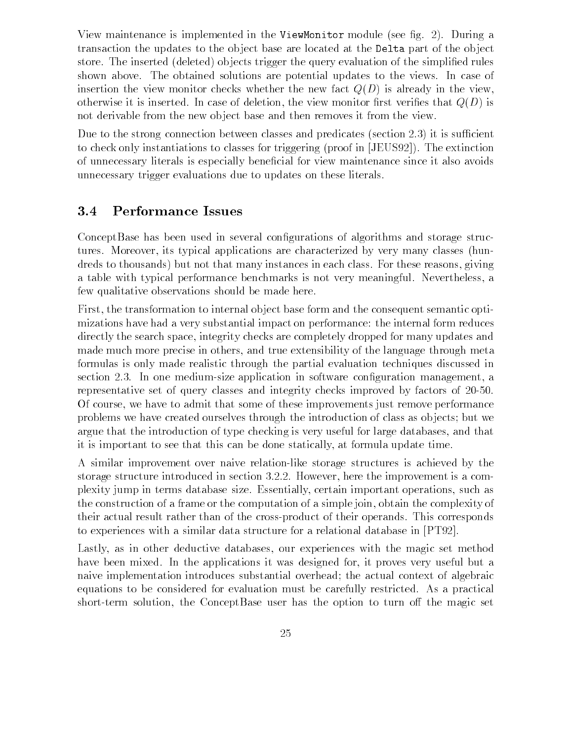View maintenance is implemented in the ViewMonitor module (see fig. 2). During a transaction the updates to the ob ject base are located at the Delta part of the ob ject store. The inserted (deleted) objects trigger the query evaluation of the simplified rules shown above. The obtained solutions are potential updates to the views. In case of insertion the view monitor checks whether the new fact  $Q(D)$  is already in the view, otherwise it is inserted. In case of deletion, the view monitor first verifies that  $Q(D)$  is not derivable from the new ob ject base and then removes it from the view.

Due to the strong connection between classes and predicates (section  $(2.3)$ ) it is sufficient to check only instantiations to classes for triggering (proof in [JEUS92]). The extinction of unnecessary literals is especially benecial for view maintenance since it also avoids unnecessary trigger evaluations due to updates on these literals.

### 3.4 Performance Issues

ConceptBase has been used in several configurations of algorithms and storage structures. Moreover, its typical applications are characterized by very many classes (hundreds to thousands) but not that many instances in each class. For these reasons, giving a table with typical performance benchmarks is not very meaningful. Nevertheless, a few qualitative observations should be made here.

First, the transformation to internal ob ject base form and the consequent semantic optimizations have had a very substantial impact on performance: the internal form reduces directly the search space, integrity checks are completely dropped for many updates and made much more precise in others, and true extensibility of the language through meta formulas is only made realistic through the partial evaluation techniques discussed in section 2.3. In one medium-size application in software configuration management, a representative set of query classes and integrity checks improved by factors of 20-50. Of course, we have to admit that some of these improvements just remove performance problems we have created ourselves through the introduction of class as ob jects; but we argue that the introduction of type checking is very useful for large databases, and that it is important to see that this can be done statically, at formula update time.

A similar improvement over naive relation-like storage structures is achieved by the storage structure introduced in section 3.2.2. However, here the improvement is a complexity jump in terms database size. Essentially, certain important operations, such as the construction of a frame or the computation of a simple join, obtain the complexity of their actual result rather than of the cross-product of their operands. This corresponds to experiences with a similar data structure for a relational database in [PT92].

Lastly, as in other deductive databases, our experiences with the magic set method have been mixed. In the applications it was designed for, it proves very useful but a naive implementation introduces substantial overhead; the actual context of algebraic equations to be considered for evaluation must be carefully restricted. As a practical short-term solution, the ConceptBase user has the option to turn off the magic set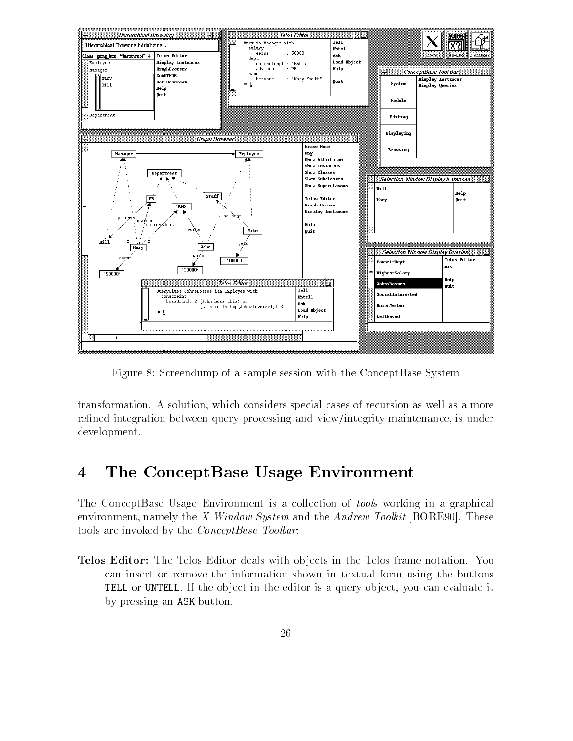

Figure 8: Screendump of a sample session with the ConceptBase System

transformation. A solution, which considers special cases of recursion as well as a more refined integration between query processing and view/integrity maintenance, is under development.

# 4 The ConceptBase Usage Environment

The ConceptBase Usage Environment is a collection of tools working in a graphical environment, namely the X Window System and the Andrew Toolkit [BORE90]. These tools are invoked by the ConceptBase Toolbar:

Telos Editor: The Telos Editor deals with ob jects in the Telos frame notation. You can insert or remove the information shown in textual form using the buttons TELL or UNTELL. If the object in the editor is a query object, you can evaluate it by pressing an ASK button.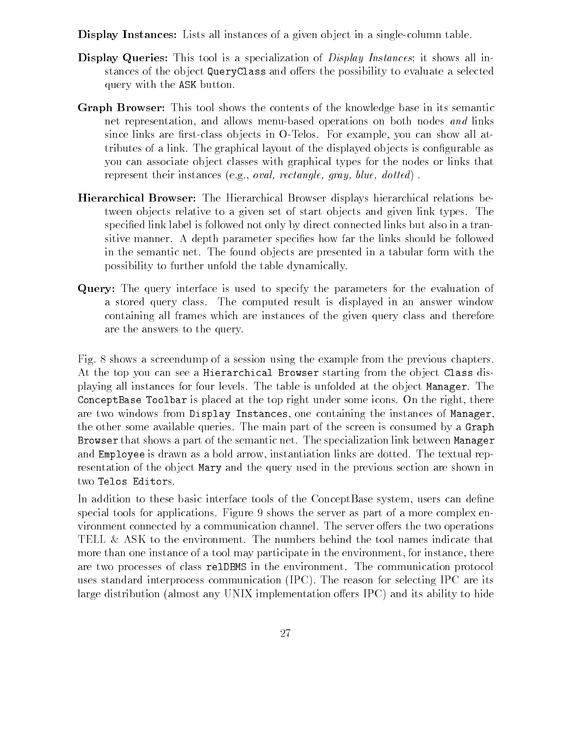- **Display Instances:** Lists all instances of a given object in a single-column table.
- **Display Queries:** This tool is a specialization of *Display Instances*; it shows all instances of the object QueryClass and offers the possibility to evaluate a selected query with the ASK button.
- Graph Browser: This tool shows the contents of the knowledge base in its semantic net representation, and allows menu-based operations on both nodes and links since links are first-class objects in O-Telos. For example, you can show all attributes of a link. The graphical layout of the displayed ob jects is congurable as you can associate ob ject classes with graphical types for the nodes or links that represent their instances (e.g., oval, rectangle, gray, blue, dotted) .
- Hierarchical Browser: The Hierarchical Browser displays hierarchical relations between ob jects relative to a given set of start ob jects and given link types. The specified link label is followed not only by direct connected links but also in a transitive manner. A depth parameter species how far the links should be followed in the semantic net. The found ob jects are presented in a tabular form with the possibility to further unfold the table dynamically.
- Query: The query interface is used to specify the parameters for the evaluation of a stored query class. The computed result is displayed in an answer window containing all frames which are instances of the given query class and therefore are the answers to the query.

Fig. 8 shows a screendump of a session using the example from the previous chapters. At the top you can see a Hierarchical Browser starting from the object Class displaying all instances for four levels. The table is unfolded at the ob ject Manager. The ConceptBase Toolbar is placed at the top right under some icons. On the right, there are two windows from Display Instances, one containing the instances of Manager, the other some available queries. The main part of the screen is consumed by a Graph Browser that shows a part of the semantic net. The specialization link between Manager and Employee is drawn as a bold arrow, instantiation links are dotted. The textual representation of the object Mary and the query used in the previous section are shown in two Telos Editors.

In addition to these basic interface tools of the ConceptBase system, users can define special tools for applications. Figure 9 shows the server as part of a more complex environment connected by a communication channel. The server offers the two operations TELL & ASK to the environment. The numbers behind the tool names indicate that more than one instance of a tool may participate in the environment, for instance, there are two processes of class relDBMS in the environment. The communication protocol uses standard interprocess communication (IPC). The reason for selecting IPC are its large distribution (almost any UNIX implementation offers IPC) and its ability to hide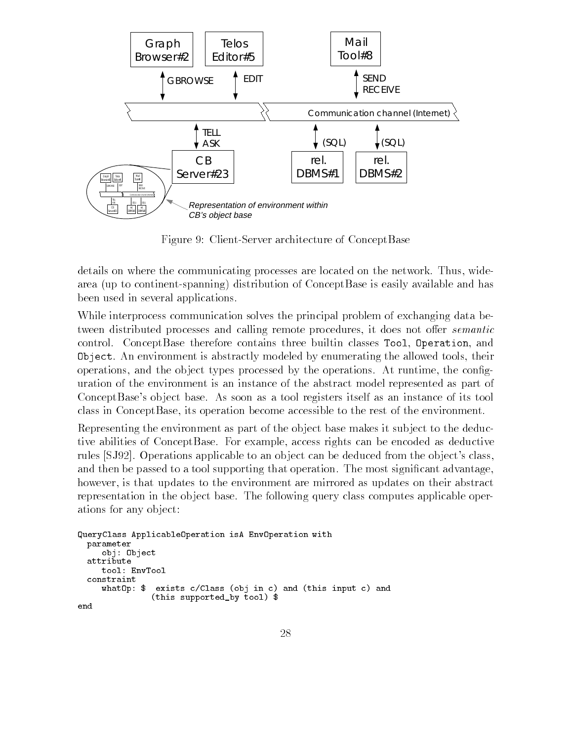

Figure 9: Client-Server architecture of ConceptBase

details on where the communicating processes are located on the network. Thus, widearea (up to continent-spanning) distribution of ConceptBase is easily available and has been used in several applications.

While interprocess communication solves the principal problem of exchanging data between distributed processes and calling remote procedures, it does not offer *semantic* control. ConceptBase therefore contains three builtin classes Tool, Operation, and Object. An environment is abstractly modeled by enumerating the allowed tools, their operations, and the object types processed by the operations. At runtime, the configuration of the environment is an instance of the abstract model represented as part of ConceptBase's ob ject base. As soon as a tool registers itself as an instance of its tool class in ConceptBase, its operation become accessible to the rest of the environment.

Representing the environment as part of the object base makes it subject to the deductive abilities of ConceptBase. For example, access rights can be encoded as deductive rules [SJ92]. Operations applicable to an ob ject can be deduced from the ob ject's class, and then be passed to a tool supporting that operation. The most significant advantage, however, is that updates to the environment are mirrored as updates on their abstract representation in the ob ject base. The following query class computes applicable operations for any ob ject:

```
QueryClass ApplicableOperation isA EnvOperation with
 parameter
    obj: Object
 attribute
    tool: EnvTool
 constraint
    whatOp: $ exists c/Class (obj in c) and (this input c) and
               (this supported_by tool) $
end
```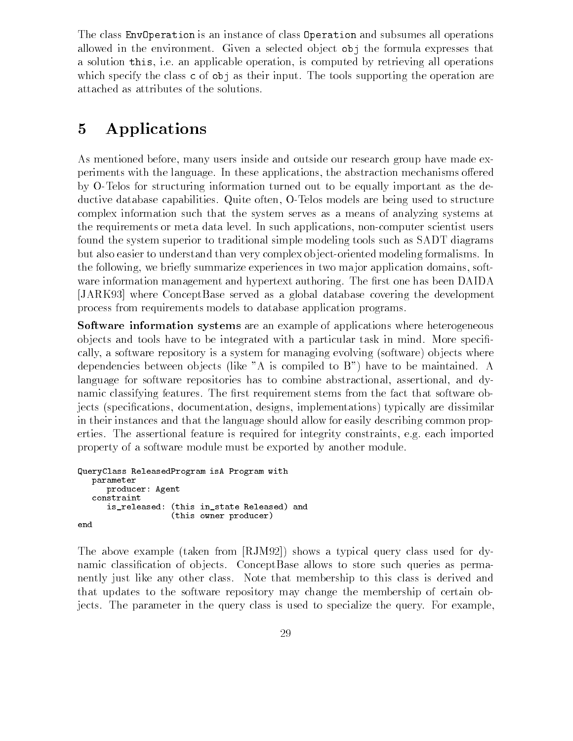The class EnvOperation is an instance of class Operation and subsumes all operations allowed in the environment. Given a selected object obj the formula expresses that a solution this, i.e. an applicable operation, is computed by retrieving all operations which specify the class c of obj as their input. The tools supporting the operation are attached as attributes of the solutions.

# 5 Applications

As mentioned before, many users inside and outside our research group have made experiments with the language. In these applications, the abstraction mechanisms offered by O-Telos for structuring information turned out to be equally important as the deductive database capabilities. Quite often, O-Telos models are being used to structure complex information such that the system serves as a means of analyzing systems at the requirements or meta data level. In such applications, non-computer scientist users found the system superior to traditional simple modeling tools such as SADT diagrams but also easier to understand than very complex ob ject-oriented modeling formalisms. In the following, we briefly summarize experiences in two major application domains, software information management and hypertext authoring. The first one has been DAIDA [JARK93] where ConceptBase served as a global database covering the development process from requirements models to database application programs.

Software information systems are an example of applications where heterogeneous objects and tools have to be integrated with a particular task in mind. More specifically, a software repository is a system for managing evolving (software) objects where dependencies between ob jects (like "A is compiled to B") have to be maintained. A language for software repositories has to combine abstractional, assertional, and dynamic classifying features. The first requirement stems from the fact that software objects (specifications, documentation, designs, implementations) typically are dissimilar in their instances and that the language should allow for easily describing common properties. The assertional feature is required for integrity constraints, e.g. each imported property of a software module must be exported by another module.

```
QueryClass ReleasedProgram isA Program with
  parameter
     producer: Agent
   constraint
      is_released: (this in_state Released) and
                   (this owner producer)
end
```
The above example (taken from [RJM92]) shows a typical query class used for dynamic classification of objects. ConceptBase allows to store such queries as permanently just like any other class. Note that membership to this class is derived and that updates to the software repository may change the membership of certain objects. The parameter in the query class is used to specialize the query. For example,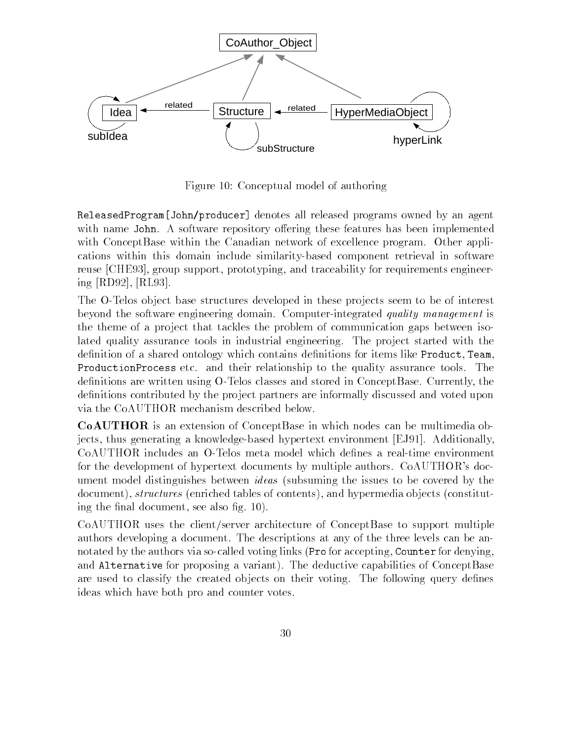

Figure 10: Conceptual model of authoring

ReleasedProgram[John/producer] denotes all released programs owned by an agent with name John. A software repository offering these features has been implemented with ConceptBase within the Canadian network of excellence program. Other applications within this domain include similarity-based component retrieval in software reuse [CHE93], group support, prototyping, and traceability for requirements engineering [RD92], [RL93].

The O-Telos object base structures developed in these projects seem to be of interest beyond the software engineering domain. Computer-integrated quality management is the theme of a project that tackles the problem of communication gaps between isolated quality assurance tools in industrial engineering. The project started with the definition of a shared ontology which contains definitions for items like Product, Team, ProductionProcess etc. and their relationship to the quality assurance tools. The denitions are written using O-Telos classes and stored in ConceptBase. Currently, the definitions contributed by the project partners are informally discussed and voted upon via the CoAUTHOR mechanism described below.

CoAUTHOR is an extension of ConceptBase in which nodes can be multimedia objects, thus generating a knowledge-based hypertext environment [EJ91]. Additionally, CoAUTHOR includes an O-Telos meta model which defines a real-time environment for the development of hypertext documents by multiple authors. CoAUTHOR's document model distinguishes between *ideas* (subsuming the issues to be covered by the document), *structures* (enriched tables of contents), and hypermedia objects (constituting the final document, see also fig. 10).

CoAUTHOR uses the client/server architecture of ConceptBase to support multiple authors developing a document. The descriptions at any of the three levels can be annotated by the authors via so-called voting links (Pro for accepting, Counter for denying, and Alternative for proposing a variant). The deductive capabilities of ConceptBase are used to classify the created objects on their voting. The following query defines ideas which have both pro and counter votes.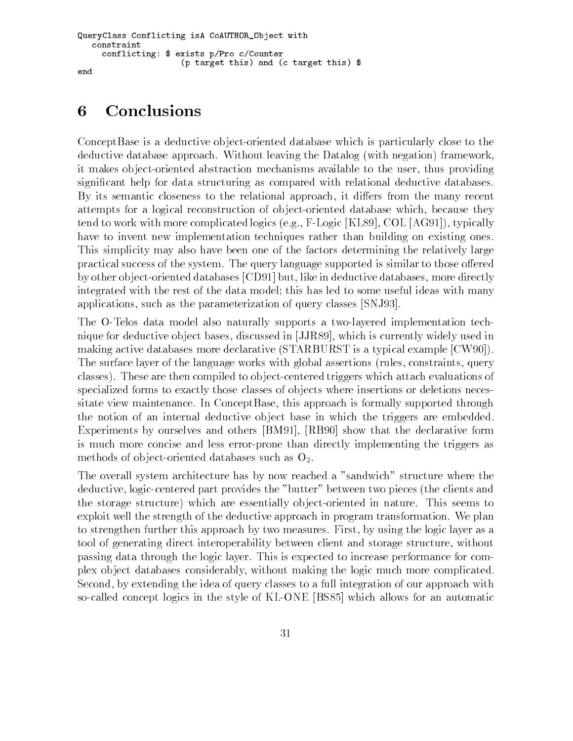```
QueryClass Conflicting isA CoAUTHOR_Object with
   constraint
     conflicting: $ exists p/Pro c/Counter
                     (p target this) and (c target this) $
end
```
# 6 Conclusions

ConceptBase is a deductive ob ject-oriented database which is particularly close to the deductive database approach. Without leaving the Datalog (with negation) framework, it makes ob ject-oriented abstraction mechanisms available to the user, thus providing signicant help for data structuring as compared with relational deductive databases. By its semantic closeness to the relational approach, it differs from the many recent attempts for a logical reconstruction of ob ject-oriented database which, because they tend to work with more complicated logics (e.g., F-Logic [KL89], COL [AG91]), typically have to invent new implementation techniques rather than building on existing ones. This simplicity may also have been one of the factors determining the relatively large practical success of the system. The query language supported is similar to those offered by other ob ject-oriented databases [CD91] but, like in deductive databases, more directly integrated with the rest of the data model; this has led to some useful ideas with many applications, such as the parameterization of query classes [SNJ93].

The O-Telos data model also naturally supports a two-layered implementation technique for deductive ob ject bases, discussed in [JJR89], which is currently widely used in making active databases more declarative (STARBURST is a typical example [CW90]). The surface layer of the language works with global assertions (rules, constraints, query classes). These are then compiled to ob ject-centered triggers which attach evaluations of specialized forms to exactly those classes of ob jects where insertions or deletions necessitate view maintenance. In ConceptBase, this approach is formally supported through the notion of an internal deductive ob ject base in which the triggers are embedded. Experiments by ourselves and others [BM91], [RB90] show that the declarative form is much more concise and less error-prone than directly implementing the triggers as methods of object-oriented databases such as  $O_2$ .

The overall system architecture has by now reached a "sandwich" structure where the deductive, logic-centered part provides the "butter" between two pieces (the clients and the storage structure) which are essentially ob ject-oriented in nature. This seems to exploit well the strength of the deductive approach in program transformation. We plan to strengthen further this approach by two measures. First, by using the logic layer as a tool of generating direct interoperability between client and storage structure, without passing data through the logic layer. This is expected to increase performance for complex ob ject databases considerably, without making the logic much more complicated. Second, by extending the idea of query classes to a full integration of our approach with so-called concept logics in the style of KL-ONE [BS85] which allows for an automatic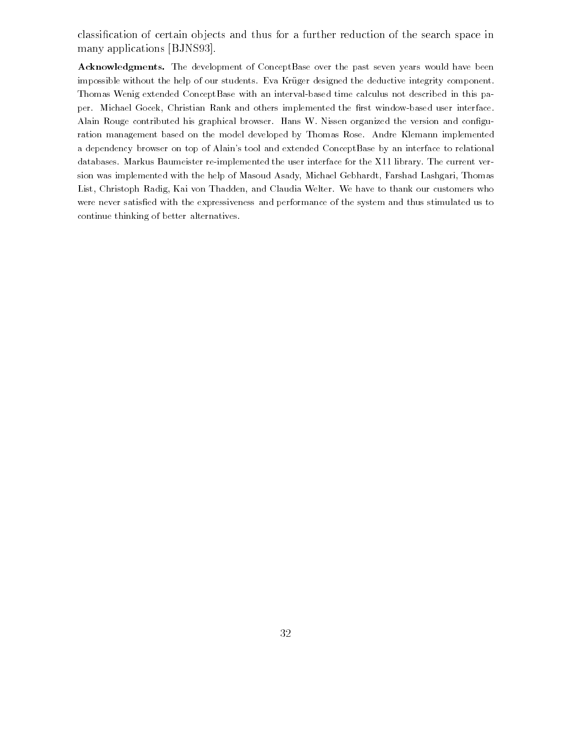classication of certain ob jects and thus for a further reduction of the search space in many applications [BJNS93].

Acknowledgments. The development of ConceptBase over the past seven years would have been impossible without the help of our students. Eva Kruger designed the deductive integrity component. Thomas Wenig extended ConceptBase with an interval-based time calculus not described in this paper. Michael Gocek, Christian Rank and others implemented the first window-based user interface. Alain Rouge contributed his graphical browser. Hans W. Nissen organized the version and configuration management based on the model developed by Thomas Rose. Andre Klemann implemented a dependency browser on top of Alain's tool and extended ConceptBase by an interface to relational databases. Markus Baumeister re-implemented the user interface for the X11 library. The current version was implemented with the help of Masoud Asady, Michael Gebhardt, Farshad Lashgari, Thomas List, Christoph Radig, Kai von Thadden, and Claudia Welter. We have to thank our customers who were never satisfied with the expressiveness and performance of the system and thus stimulated us to continue thinking of better alternatives.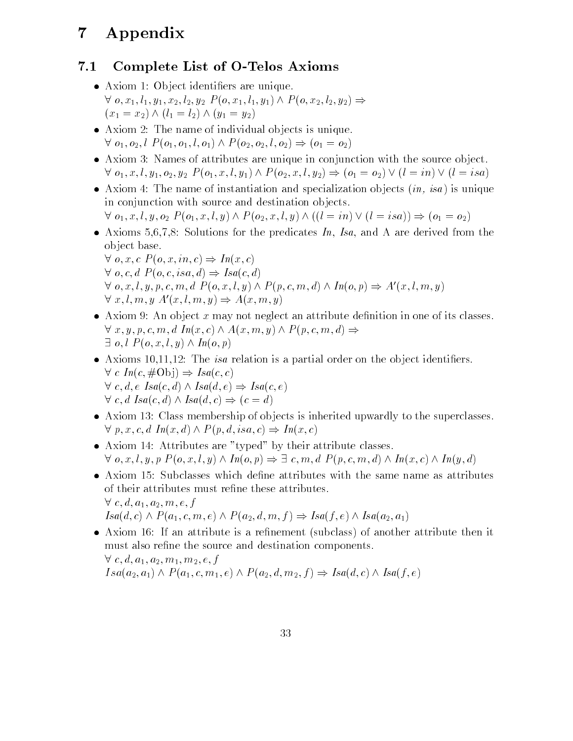# 7 Appendix

# 7.1 Complete List of O-Telos Axioms

- Axiom 1: Ob ject identiers are unique.  $\forall$   $o, x_1, l_1, y_1, x_2, l_2, y_2 \ P(o, x_1, l_1, y_1) \land P(o, x_2, l_2, y_2) \Rightarrow$  $(x_1 = x_2) \wedge (l_1 = l_2) \wedge (y_1 = y_2)$
- Axiom 2: The name of individual ob jects is unique.  $\forall o_1, o_2, l \; P(o_1, o_1, l, o_1) \wedge P(o_2, o_2, l, o_2) \Rightarrow (o_1 = o_2)$
- Axiom 3: Names of attributes are unique in conjunction with the source ob ject.  $\forall$   $o_1, x, l, y_1, o_2, y_2$   $P(o_1, x, l, y_1) \wedge P(o_2, x, l, y_2) \Rightarrow (o_1 = o_2) \vee (l = in) \vee (l = isa)$
- Axiom 4: The name of instantiation and specialization objects (*in, isa*) is unique in conjunction with source and destination ob jects.  $\forall o_1, x, l, y, o_2 \; P(o_1, x, l, y) \wedge P(o_2, x, l, y) \wedge ((l = in) \vee (l = isa)) \Rightarrow (o_1 = o_2)$

 $\bullet$  Axioms 5,0,7,8: Solutions for the predicates In, Isa, and A are derived from the

ob ject base.  $\forall$  o, x, c  $P(o, x, in, c) \Rightarrow In(x, c)$  $\forall$  o, c, d  $P(o, c, isa, d) \Rightarrow Isa(c, d)$  $\forall$  o, x, l, y, p, c, m, d  $P(o, x, l, y) \wedge P(p, c, m, d) \wedge In(o, p) \Rightarrow A'(x, l, m, y)$  $\forall x, l, m, y \; A'(x, l, m, y) \Rightarrow A(x, m, y)$ 

- $\bullet$  Axiom 9: An object  $x$  may not neglect an attribute definition in one of its classes.  $\forall x, y, p, c, m, d \ In(x, c) \land A(x, m, y) \land P(p, c, m, d) \Rightarrow$  $\exists$  o, l  $P(o, x, l, y) \wedge In(o, p)$
- $\bullet$  Axioms 10,11,12: The *isa* relation is a partial order on the object identifiers.  $\forall c \ In(c, \# \text{Obj}) \Rightarrow \text{Isa}(c, c)$  $\forall c, d, e \; Isa(c, d) \wedge Isa(d, e) \Rightarrow Isa(c, e)$  $\forall c, d \; Isa(c, d) \wedge Isa(d, c) \Rightarrow (c = d)$
- Axiom 13: Class membership of ob jects is inherited upwardly to the superclasses.  $\forall p, x, c, d \ In(x, d) \land P(p, d, isa, c) \Rightarrow In(x, c)$
- Axiom 14: Attributes are "typed" by their attribute classes.  $\forall$  o, x, l, y, p  $P(o, x, l, y) \wedge In(o, p) \Rightarrow \exists c, m, d \ P(p, c, m, d) \wedge In(x, c) \wedge In(y, d)$
- Axiom 15: Subclasses which dene attributes with the same name as attributes of their attributes must refine these attributes.  $\forall c, d, a_1, a_2, m, e, f$  $Isa(d, c) \wedge P(a_1, c, m, e) \wedge P(a_2, d, m, f) \Rightarrow Isa(f, e) \wedge Isa(a_2, a_1)$
- Axiom 16: If an attribute is a renement (subclass) of another attribute then it must also refine the source and destination components.  $\forall c, d, a_1, a_2, m_1, m_2, e, f$  $Isa(a_2, a_1) \wedge P(a_1, c, m_1, e) \wedge P(a_2, d, m_2, f) \Rightarrow Isa(d, c) \wedge Isa(f, e)$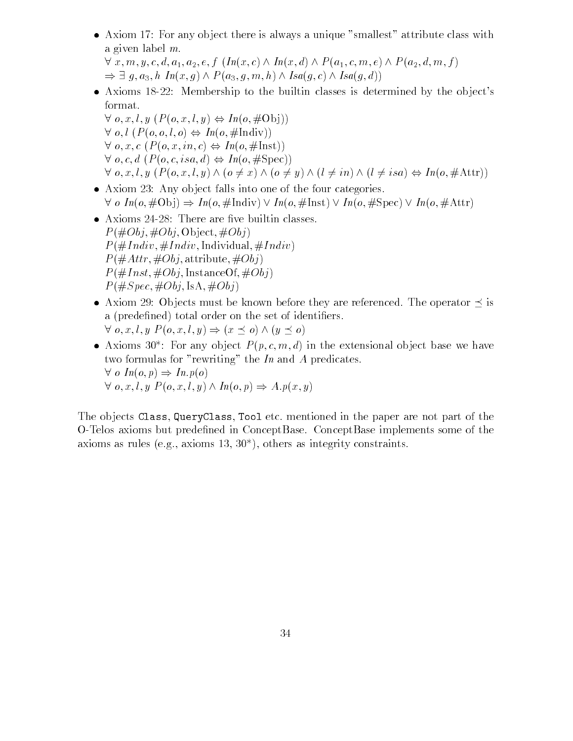Axiom 17: For any ob ject there is always a unique "smallest" attribute class with a given label m.

 $\forall x, m, y, c, d, a_1, a_2, e, f \ (In(x, c) \wedge In(x, d) \wedge P(a_1, c, m, e) \wedge P(a_2, d, m, f))$  $\Rightarrow \exists g, a_3, h \ In(x,g) \wedge P(a_3,g,m,h) \wedge Isa(g,c) \wedge Isa(g,d))$ 

- Axioms 18-22: Membership to the builtin classes is determined by the ob ject's format.
- $\forall$  o, x, l, y  $(P(o, x, l, y) \Leftrightarrow In(o, \# \text{Obj}))$  $\forall$  o, l  $(P(o, o, l, o) \Leftrightarrow In(o, #Indiv))$  $\forall$  o, x, c  $(P(o, x, in, c) \Leftrightarrow In(o, \#Inst))$  $\forall$  o, c, d  $(P(o, c, isa, d) \Leftrightarrow In(o, \#Spec))$  $\forall$  o, x, l, y  $(P(o, x, l, y) \land (o \neq x) \land (o \neq y) \land (l \neq in) \land (l \neq isa) \Leftrightarrow In(o, \#Attr))$
- Axiom 23: Any ob ject falls into one of the four categories.  $\forall o \ In(o, \# \text{Obj}) \Rightarrow In(o, \# \text{Indiv}) \vee In(o, \# \text{Inst}) \vee In(o, \# \text{Spec}) \vee In(o, \# \text{Attr})$
- $\bullet$  Axioms 24-28: There are five builtin classes.  $P(\text{\#}Obj, \text{\#}Obj, Object, \text{\#}Obj)$  $P(\#Indiv, \#Indiv, Individual, \#Indiv)$  $P(\#Attr, \#Obj,$  attribute,  $\#Obj$ )  $P(\#Inst, \#Obj, InstanceOf, \#Obj)$  $P(\#Spec, \#Obj, \text{IsA}, \#Obj)$
- Axiom 29: Objects must be known before they are referenced. The operator  $\preceq$  is a (predefined) total order on the set of identifiers.  $\forall$   $o, x, l, y \ P(o, x, l, y) \Rightarrow (x \preceq o) \land (y \preceq o)$
- Axioms 30°: For any object  $P(p, c, m, a)$  in the extensional object base we have two formulas for "rewriting" the In and A predicates.  $\forall o \ In(o, p) \Rightarrow In.p(o)$  $\forall$  o, x, l, y  $P(o, x, l, y) \wedge In(o, p) \Rightarrow A.p(x, y)$

The ob jects Class, QueryClass, Tool etc. mentioned in the paper are not part of the O-Telos axioms but predened in ConceptBase. ConceptBase implements some of the axioms as rules (e.g., axioms 13, 30\*), others as integrity constraints.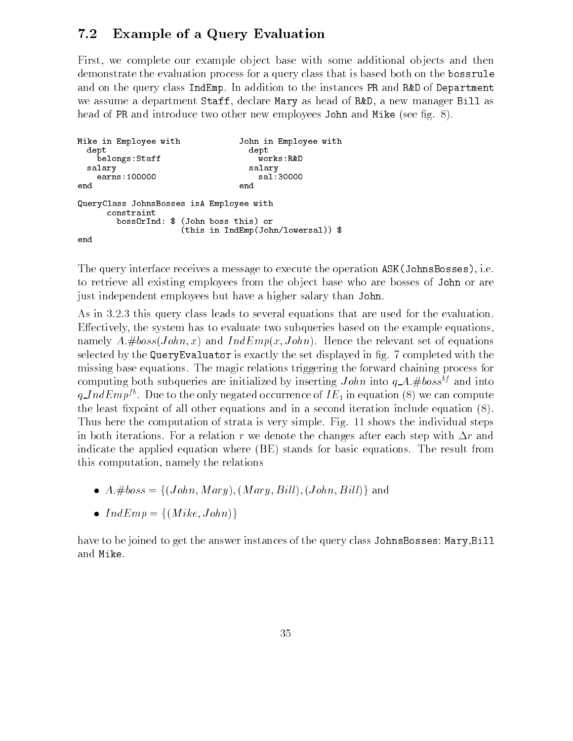# 7.2 Example of a Query Evaluation

First, we complete our example object base with some additional objects and then demonstrate the evaluation process for a query class that is based both on the bossrule and on the query class IndEmp. In addition to the instances PR and R&D of Department we assume a department Staff, declare Mary as head of R&D, a new manager Bill as head of PR and introduce two other new employees John and Mike (see fig. 8).

```
Mike in Employee with John in Employee with
 dept dept
   belongs:Staffsalary salary
   earns: 100000
end
                         end
QueryClass JohnsBosses isA Employee with
    constraint
      bossOrInd: $ (John boss this) or
                (this in IndEmp(John/lowersal)) $
end
```
The query interface receives a message to execute the operation ASK(JohnsBosses), i.e. to retrieve all existing employees from the ob ject base who are bosses of John or are just independent employees but have a higher salary than John.

As in 3.2.3 this query class leads to several equations that are used for the evaluation. Effectively, the system has to evaluate two subqueries based on the example equations, namely  $A. \# boss(John, x)$  and  $IndEmp(x, John)$ . Hence the relevant set of equations selected by the QueryEvaluator is exactly the set displayed in fig. 7 completed with the missing base equations. The magic relations triggering the forward chaining process for computing both subqueries are initialized by inserting  $John$  into  $q_A$ . #boss<sup>bf</sup> and into  $q\_IndEmp^{fb}$ . Due to the only negated occurrence of  $IE_1$  in equation (8) we can compute the least fixpoint of all other equations and in a second iteration include equation  $(8)$ . Thus here the computation of strata is very simple. Fig. 11 shows the individual steps in both iterations. For a relation r we denote the changes after each step with  $\Delta r$  and indicate the applied equation where (BE) stands for basic equations. The result from this computation, namely the relations

- $\bullet$   $A.\#boss = \{(John, Mary), (Mary, Bill), (John, Bill)\}$  and
- $\bullet$  IndEmp = {(Mike, John)}

have to be joined to get the answer instances of the query class JohnsBosses: Mary,Bill and Mike.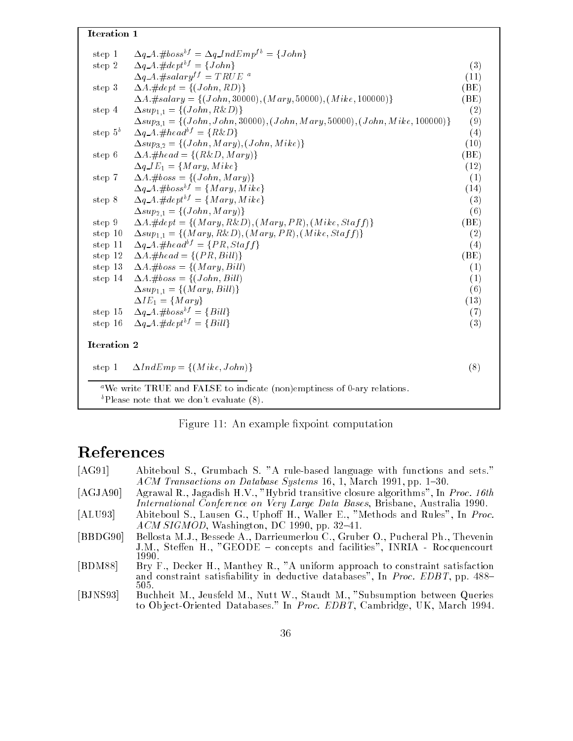### Iteration 1

| step 1      | $\Delta IndEmp = \{(Mike, John)\}\$                                                      | (8)  |
|-------------|------------------------------------------------------------------------------------------|------|
| Iteration 2 |                                                                                          |      |
| step 16     | $\Delta q_A \pm dept^{bf} = \{Bill\}$                                                    | (3)  |
|             | step 15 $\Delta q \, A \, \# \, \mathit{bos} \, s^{\mathit{bf}} = \{ \mathit{Bill} \}$   | (7)  |
|             | $\Delta IE_1 = \{Mary\}$                                                                 | (13) |
|             | $\Delta sup_{1,1} = \{(Mary, Bill)\}$                                                    | (6)  |
| step 14     | $\Delta A. \# boss = \{(John, Bill)\}$                                                   | (1)  |
| step 13     | $\Delta A. \# boss = \{(Mary, Bill)\}$                                                   | (1)  |
| step 12     | $\Delta A. \#head = \{(PR, Bill)\}$                                                      | (BE) |
| step 11     | $\Delta q \Delta \# head^{bf} = \{PR, Stat\}$                                            | (4)  |
| step 10     | $\Delta sup_{1,1} = \{(Mary, R\&D), (Mary, PR), (Mike, Staff)\}\$                        | (2)  |
| step 9      | $\Delta A. \# dept = \{(Mary, R\&D), (Mary, PR), (Mike, Staff)\}\$                       | (BE) |
|             | $\Delta sup_{2,1} = \{ (John, Mary) \}$                                                  | (6)  |
| step 8      | $\Delta q \Delta \mathcal{A} \Delta \mathcal{A} = \{ Mary, Mike \}$                      | (3)  |
|             | $\Delta q_A A \# boss^{bf} = \{Mary, Mike\}$                                             | (14) |
| step 7      | $\Delta A. \# boss = \{(John, Mary)\}$                                                   | (1)  |
|             | $\Delta q$ <sub>-I</sub> $E_1 = \{Mary, Mike\}$                                          | (12) |
| step 6      | $\Delta A \# head = \{(R\&D, Mary)\}$                                                    | (BE) |
|             | $\Delta sup_{3,2} = \{(John, Mary), (John, Mike)\}$                                      | (10) |
| step $5^b$  | $\Delta q \Delta A \# head^{bf} = \{ R\&D \}$                                            | (4)  |
|             | $\Delta sup_{3,1} = \{(John, John, 30000), (John, Mary, 50000), (John, Mike, 100000)\}\$ | (9)  |
| step 4      | $\Delta sup_{1,1} = \{ (John, R\&D) \}$                                                  | (2)  |
|             | $\Delta A. \# salary = \{(John, 30000), (Mary, 50000), (Mike, 100000)\}\$                | (BE) |
| step 3      | $\Delta A \neq dept = \{(John, RD)\}$                                                    | (BE) |
|             | $\Delta q \Delta t \# salary^{ff} = TRUE^{a}$                                            | (11) |
| step 2      | $\Delta q \, A \, \# depth^{bf} = \{ John\}$                                             | (3)  |

Figure 11: An example fixpoint computation

# References

 $\mathbf{r}$  and  $\mathbf{r}$ 

| [AG91]   | Abiteboul S., Grumbach S. "A rule-based language with functions and sets."       |
|----------|----------------------------------------------------------------------------------|
|          | ACM Transactions on Database Systems 16, 1, March 1991, pp. 1-30.                |
| [AGJA90] | Agrawal R., Jagadish H.V., "Hybrid transitive closure algorithms", In Proc. 16th |
|          | International Conference on Very Large Data Bases, Brisbane, Australia 1990.     |
| [ATII93] | Abiteboul S. Lausen G. Hnboff H. Waller E. "Methods and Rules". In Proc.         |

- $[ALU93]$  Abiteboul S., Lausen G., Uphoff H., Waller E., "Methods and Rules", In Proc.  $ACM$  SIGMOD, Washington, DC 1990, pp. 32-41.
- [BBDG90] Bellosta M.J., Bessede A., Darrieumerlou C., Gruber O., Pucheral Ph., Thevenin J.M., Steffen H., "GEODE - concepts and facilities", INRIA - Rocquencourt 1990.
- [BDM88] Bry F., Decker H., Manthey R., "A uniform approach to constraint satisfaction and constraint satisfiability in deductive databases", In Proc. EDBT, pp.  $488-$ 505.
- [BJNS93] Buchheit M., Jeusfeld M., Nutt W., Staudt M., "Subsumption between Queries to Object-Oriented Databases." In Proc. EDBT, Cambridge, UK, March 1994.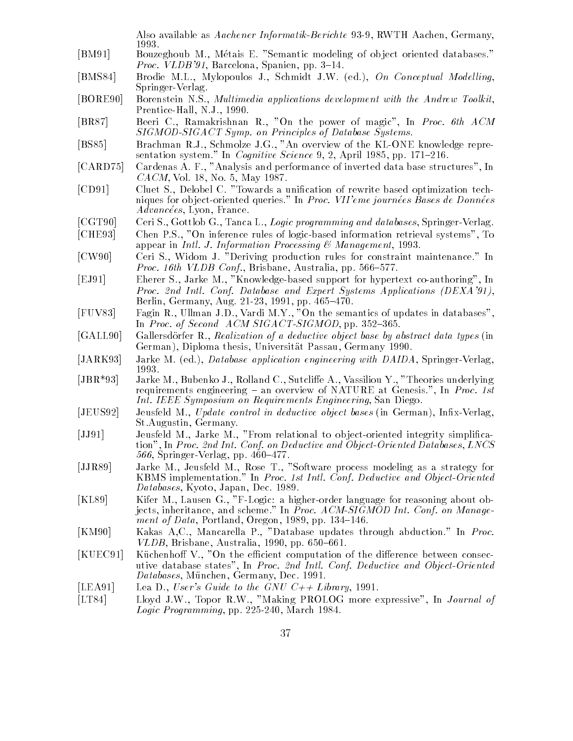Also available as Aachener Informatik-Berichte 93-9, RWTH Aachen, Germany, 1993.

- [BM91] Bouzeghoub M., Métais E. "Semantic modeling of object oriented databases." *Proc. VLDB'91*, Barcelona, Spanien, pp. 3-14.
- [BMS84] Brodie M.L., Mylopoulos J., Schmidt J.W. (ed.), On Conceptual Modelling, Springer-Verlag.
- [BORE90] Borenstein N.S., Multimedia applications development with the Andrew Toolkit, Prentice-Hall, N.J., 1990.
- [BR87] Beeri C., Ramakrishnan R., "On the power of magic", In Proc. 6th ACM SIGMOD-SIGACT Symp. on Principles of Database Systems.
- [BS85] Brachman R.J., Schmolze J.G., "An overview of the KL-ONE knowledge representation system." In *Cognitive Science* 9, 2, April 1985, pp. 171–216.
- [CARD75] Cardenas A. F., "Analysis and performance of inverted data base structures", In CACM, Vol. 18, No. 5, May 1987.
- [CD91] Cluet S., Delobel C. "Towards a unication of rewrite based optimization techniques for object-oriented queries." In Proc. VII'eme journées Bases de Données Advancées, Lyon, France.
- [CGT90] Ceri S., Gottlob G., Tanca L., Logic programming and databases, Springer-Verlag.
- [CHE93] Chen P.S., "On inference rules of logic-based information retrieval systems", To appear in *Intl. J. Information Processing*  $\&$  *Management*, 1993.
- [CW90] Ceri S., Widom J. "Deriving production rules for constraint maintenance." In Proc. 16th VLDB Conf., Brisbane, Australia, pp. 566-577.
- [EJ91] Eherer S., Jarke M., "Knowledge-based support for hypertext co-authoring", In Proc. 2nd Intl. Conf. Database and Expert Systems Applications (DEXA'91), Berlin, Germany, Aug. 21-23, 1991, pp. 465-470.
- [FUV83] Fagin R., Ullman J.D., Vardi M.Y., "On the semantics of updates in databases", In Proc. of Second  $ACM SIGACT-SIGMOD$ , pp. 352-365.
- [GALL90] Gallersdörfer R., Realization of a deductive object base by abstract data types (in German), Diploma thesis, Universitat Passau, Germany 1990.
- [JARK93] Jarke M. (ed.), Database application engineering with DAIDA, Springer-Verlag, 1993.
- [JBR\*93] Jarke M., Bubenko J., Rolland C., Sutcliffe A., Vassiliou Y., "Theories underlying requirements engineering  $-$  an overview of NATURE at Genesis.", In Proc. 1st Int. IEEE Symposium on Requirements Engineering, San Diego.
- [JEUS92] Jeusfeld M., Update control in deductive object bases (in German), Infix-Verlag, St.Augustin, Germany.
- [JJ91] Jeusfeld M., Jarke M., "From relational to object-oriented integrity simplification", In Proc. 2nd Int. Conf. on Deductive and Object-Oriented Databases, LNCS  $566$ , Springer-Verlag, pp.  $460-477$ .
- [JJR89] Jarke M., Jeusfeld M., Rose T., "Software process modeling as a strategy for KBMS implementation." In Proc. 1st Intl. Conf. Deductive and Object-Oriented Databases, Kyoto, Japan, Dec. 1989.
- [KL89] Kifer M., Lausen G., "F-Logic: a higher-order language for reasoning about objects, inheritance, and scheme." In Proc. ACM-SIGMOD Int. Conf. on Management of Data, Portland, Oregon, 1989, pp.  $134-146$ .
- [KM90] Kakas A,C., Mancarella P., "Database updates through abduction." In Proc. VLDB, Brisbane, Australia, 1990, pp.  $650–661$ .
- [KUEC91] Küchenhoff V., "On the efficient computation of the difference between consecutive database states", In Proc. 2nd Intl. Conf. Deductive and Object-Oriented Databases, München, Germany, Dec. 1991.
- [LEA91] Lea D., User's Guide to the GNU  $C++$  Library, 1991.
- [LT84] Lloyd J.W., Topor R.W., "Making PROLOG more expressive", In Journal of Logic Programming, pp. 225-240, March 1984.